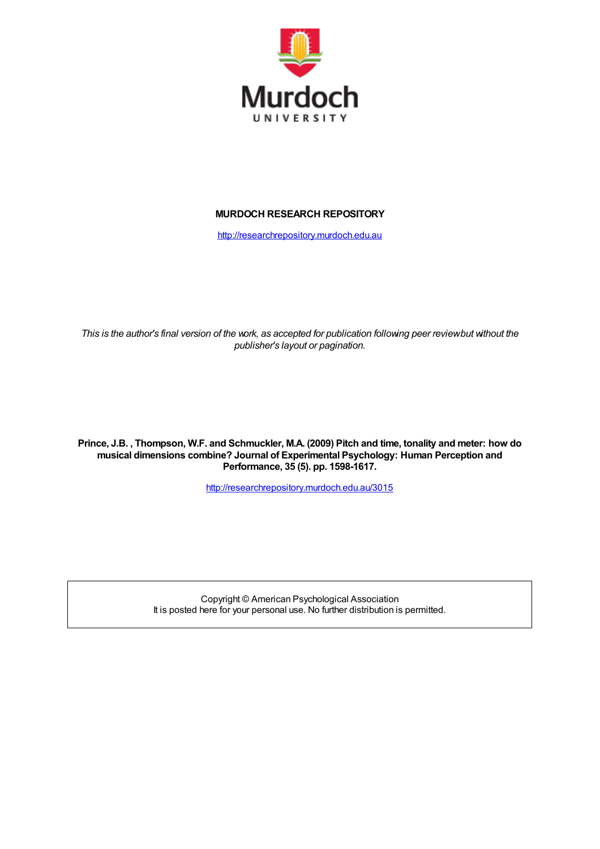

## **MURDOCH RESEARCH REPOSITORY**

<http://researchrepository.murdoch.edu.au>

*This is the author's final version of the work, as accepted for publication following peer review but without the publisher's layout or pagination.*

**Prince, J.B. , Thompson, W.F. and Schmuckler, M.A. (2009) Pitch and time, tonality and meter: how do musical dimensions combine? Journal of Experimental Psychology: Human Perception and Performance, 35 (5). pp. 1598-1617.**

<http://researchrepository.murdoch.edu.au/3015>

Copyright © American Psychological Association It is posted here for your personal use. No further distribution is permitted.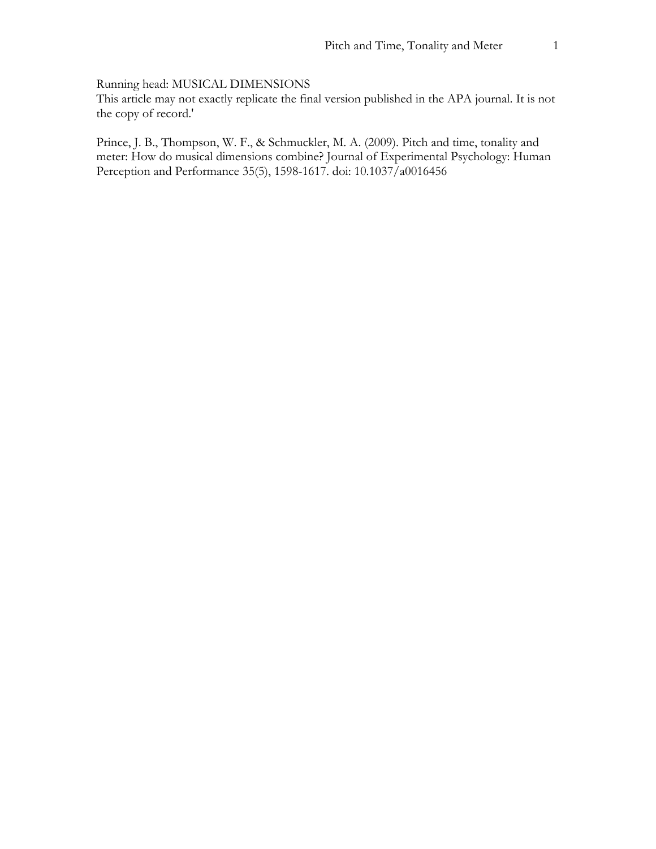# Running head: MUSICAL DIMENSIONS

This article may not exactly replicate the final version published in the APA journal. It is not the copy of record.'

Prince, J. B., Thompson, W. F., & Schmuckler, M. A. (2009). Pitch and time, tonality and meter: How do musical dimensions combine? Journal of Experimental Psychology: Human Perception and Performance 35(5), 1598-1617. doi: 10.1037/a0016456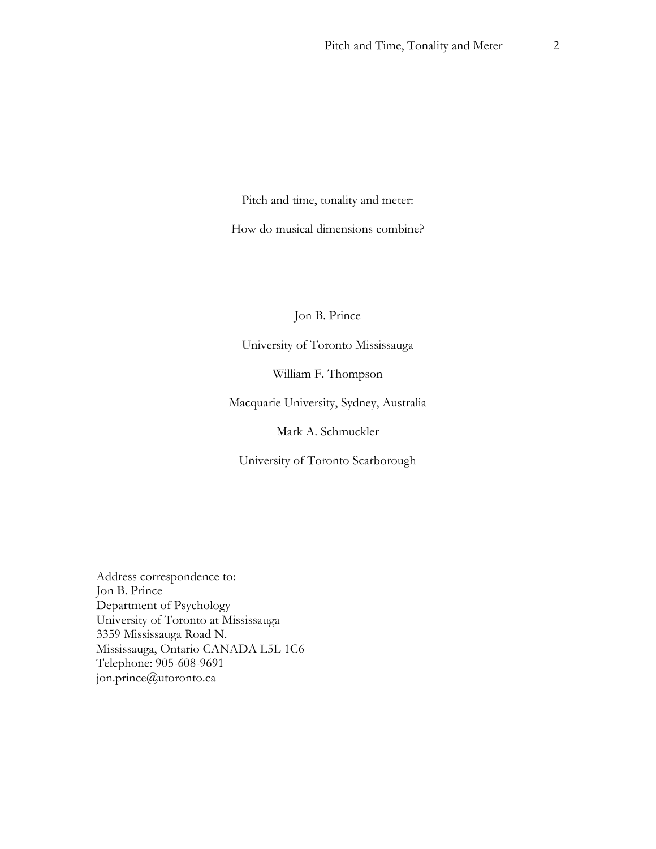Pitch and time, tonality and meter:

How do musical dimensions combine?

Jon B. Prince

University of Toronto Mississauga

William F. Thompson

Macquarie University, Sydney, Australia

Mark A. Schmuckler

University of Toronto Scarborough

Address correspondence to: Jon B. Prince Department of Psychology University of Toronto at Mississauga 3359 Mississauga Road N. Mississauga, Ontario CANADA L5L 1C6 Telephone: 905-608-9691 jon.prince@utoronto.ca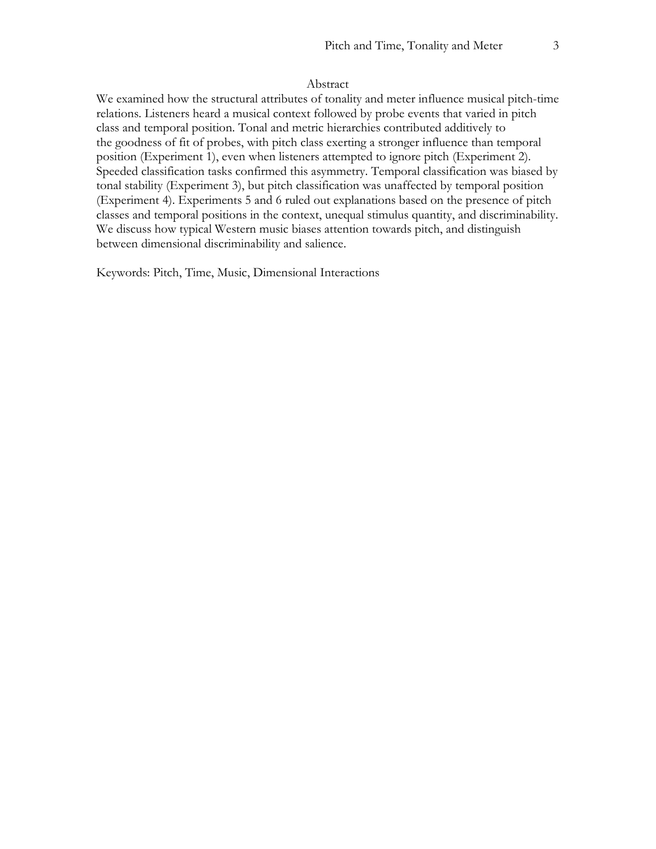We examined how the structural attributes of tonality and meter influence musical pitch-time relations. Listeners heard a musical context followed by probe events that varied in pitch class and temporal position. Tonal and metric hierarchies contributed additively to the goodness of fit of probes, with pitch class exerting a stronger influence than temporal position (Experiment 1), even when listeners attempted to ignore pitch (Experiment 2). Speeded classification tasks confirmed this asymmetry. Temporal classification was biased by tonal stability (Experiment 3), but pitch classification was unaffected by temporal position (Experiment 4). Experiments 5 and 6 ruled out explanations based on the presence of pitch classes and temporal positions in the context, unequal stimulus quantity, and discriminability. We discuss how typical Western music biases attention towards pitch, and distinguish between dimensional discriminability and salience.

Keywords: Pitch, Time, Music, Dimensional Interactions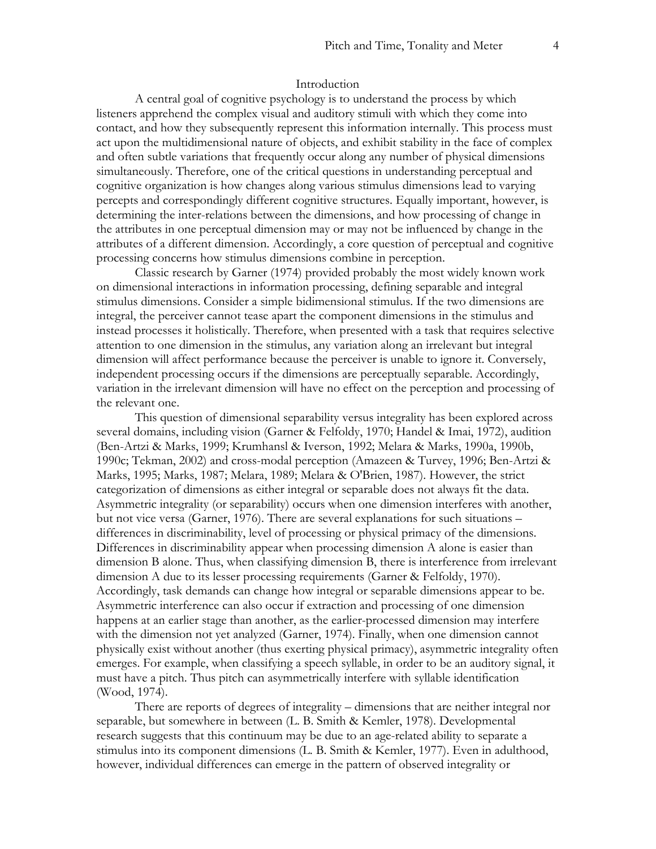## Introduction

A central goal of cognitive psychology is to understand the process by which listeners apprehend the complex visual and auditory stimuli with which they come into contact, and how they subsequently represent this information internally. This process must act upon the multidimensional nature of objects, and exhibit stability in the face of complex and often subtle variations that frequently occur along any number of physical dimensions simultaneously. Therefore, one of the critical questions in understanding perceptual and cognitive organization is how changes along various stimulus dimensions lead to varying percepts and correspondingly different cognitive structures. Equally important, however, is determining the inter-relations between the dimensions, and how processing of change in the attributes in one perceptual dimension may or may not be influenced by change in the attributes of a different dimension. Accordingly, a core question of perceptual and cognitive processing concerns how stimulus dimensions combine in perception.

Classic research by Garner (1974) provided probably the most widely known work on dimensional interactions in information processing, defining separable and integral stimulus dimensions. Consider a simple bidimensional stimulus. If the two dimensions are integral, the perceiver cannot tease apart the component dimensions in the stimulus and instead processes it holistically. Therefore, when presented with a task that requires selective attention to one dimension in the stimulus, any variation along an irrelevant but integral dimension will affect performance because the perceiver is unable to ignore it. Conversely, independent processing occurs if the dimensions are perceptually separable. Accordingly, variation in the irrelevant dimension will have no effect on the perception and processing of the relevant one.

This question of dimensional separability versus integrality has been explored across several domains, including vision (Garner & Felfoldy, 1970; Handel & Imai, 1972), audition (Ben-Artzi & Marks, 1999; Krumhansl & Iverson, 1992; Melara & Marks, 1990a, 1990b, 1990c; Tekman, 2002) and cross-modal perception (Amazeen & Turvey, 1996; Ben-Artzi & Marks, 1995; Marks, 1987; Melara, 1989; Melara & O'Brien, 1987). However, the strict categorization of dimensions as either integral or separable does not always fit the data. Asymmetric integrality (or separability) occurs when one dimension interferes with another, but not vice versa (Garner, 1976). There are several explanations for such situations – differences in discriminability, level of processing or physical primacy of the dimensions. Differences in discriminability appear when processing dimension A alone is easier than dimension B alone. Thus, when classifying dimension B, there is interference from irrelevant dimension A due to its lesser processing requirements (Garner & Felfoldy, 1970). Accordingly, task demands can change how integral or separable dimensions appear to be. Asymmetric interference can also occur if extraction and processing of one dimension happens at an earlier stage than another, as the earlier-processed dimension may interfere with the dimension not yet analyzed (Garner, 1974). Finally, when one dimension cannot physically exist without another (thus exerting physical primacy), asymmetric integrality often emerges. For example, when classifying a speech syllable, in order to be an auditory signal, it must have a pitch. Thus pitch can asymmetrically interfere with syllable identification (Wood, 1974).

There are reports of degrees of integrality – dimensions that are neither integral nor separable, but somewhere in between (L. B. Smith & Kemler, 1978). Developmental research suggests that this continuum may be due to an age-related ability to separate a stimulus into its component dimensions (L. B. Smith & Kemler, 1977). Even in adulthood, however, individual differences can emerge in the pattern of observed integrality or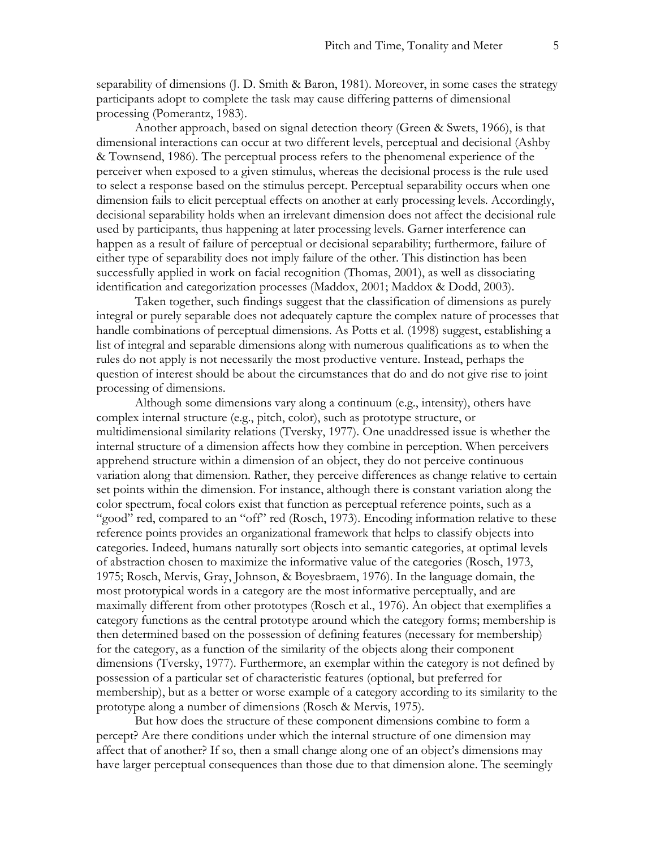separability of dimensions (J. D. Smith & Baron, 1981). Moreover, in some cases the strategy participants adopt to complete the task may cause differing patterns of dimensional processing (Pomerantz, 1983).

Another approach, based on signal detection theory (Green & Swets, 1966), is that dimensional interactions can occur at two different levels, perceptual and decisional (Ashby & Townsend, 1986). The perceptual process refers to the phenomenal experience of the perceiver when exposed to a given stimulus, whereas the decisional process is the rule used to select a response based on the stimulus percept. Perceptual separability occurs when one dimension fails to elicit perceptual effects on another at early processing levels. Accordingly, decisional separability holds when an irrelevant dimension does not affect the decisional rule used by participants, thus happening at later processing levels. Garner interference can happen as a result of failure of perceptual or decisional separability; furthermore, failure of either type of separability does not imply failure of the other. This distinction has been successfully applied in work on facial recognition (Thomas, 2001), as well as dissociating identification and categorization processes (Maddox, 2001; Maddox & Dodd, 2003).

Taken together, such findings suggest that the classification of dimensions as purely integral or purely separable does not adequately capture the complex nature of processes that handle combinations of perceptual dimensions. As Potts et al. (1998) suggest, establishing a list of integral and separable dimensions along with numerous qualifications as to when the rules do not apply is not necessarily the most productive venture. Instead, perhaps the question of interest should be about the circumstances that do and do not give rise to joint processing of dimensions.

Although some dimensions vary along a continuum (e.g., intensity), others have complex internal structure (e.g., pitch, color), such as prototype structure, or multidimensional similarity relations (Tversky, 1977). One unaddressed issue is whether the internal structure of a dimension affects how they combine in perception. When perceivers apprehend structure within a dimension of an object, they do not perceive continuous variation along that dimension. Rather, they perceive differences as change relative to certain set points within the dimension. For instance, although there is constant variation along the color spectrum, focal colors exist that function as perceptual reference points, such as a "good" red, compared to an "off" red (Rosch, 1973). Encoding information relative to these reference points provides an organizational framework that helps to classify objects into categories. Indeed, humans naturally sort objects into semantic categories, at optimal levels of abstraction chosen to maximize the informative value of the categories (Rosch, 1973, 1975; Rosch, Mervis, Gray, Johnson, & Boyesbraem, 1976). In the language domain, the most prototypical words in a category are the most informative perceptually, and are maximally different from other prototypes (Rosch et al., 1976). An object that exemplifies a category functions as the central prototype around which the category forms; membership is then determined based on the possession of defining features (necessary for membership) for the category, as a function of the similarity of the objects along their component dimensions (Tversky, 1977). Furthermore, an exemplar within the category is not defined by possession of a particular set of characteristic features (optional, but preferred for membership), but as a better or worse example of a category according to its similarity to the prototype along a number of dimensions (Rosch & Mervis, 1975).

But how does the structure of these component dimensions combine to form a percept? Are there conditions under which the internal structure of one dimension may affect that of another? If so, then a small change along one of an object's dimensions may have larger perceptual consequences than those due to that dimension alone. The seemingly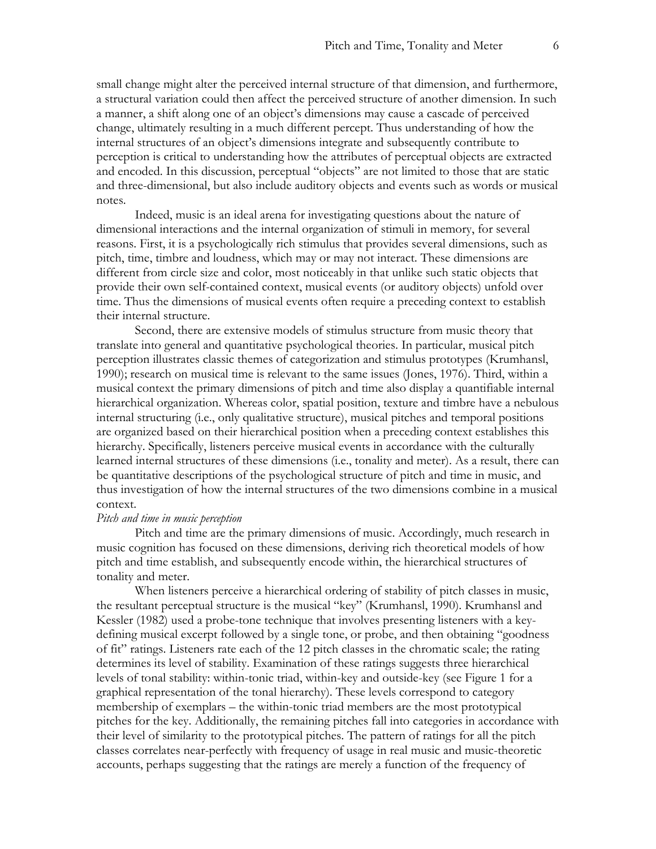small change might alter the perceived internal structure of that dimension, and furthermore, a structural variation could then affect the perceived structure of another dimension. In such a manner, a shift along one of an object's dimensions may cause a cascade of perceived change, ultimately resulting in a much different percept. Thus understanding of how the internal structures of an object's dimensions integrate and subsequently contribute to perception is critical to understanding how the attributes of perceptual objects are extracted and encoded. In this discussion, perceptual "objects" are not limited to those that are static and three-dimensional, but also include auditory objects and events such as words or musical notes.

Indeed, music is an ideal arena for investigating questions about the nature of dimensional interactions and the internal organization of stimuli in memory, for several reasons. First, it is a psychologically rich stimulus that provides several dimensions, such as pitch, time, timbre and loudness, which may or may not interact. These dimensions are different from circle size and color, most noticeably in that unlike such static objects that provide their own self-contained context, musical events (or auditory objects) unfold over time. Thus the dimensions of musical events often require a preceding context to establish their internal structure.

Second, there are extensive models of stimulus structure from music theory that translate into general and quantitative psychological theories. In particular, musical pitch perception illustrates classic themes of categorization and stimulus prototypes (Krumhansl, 1990); research on musical time is relevant to the same issues (Jones, 1976). Third, within a musical context the primary dimensions of pitch and time also display a quantifiable internal hierarchical organization. Whereas color, spatial position, texture and timbre have a nebulous internal structuring (i.e., only qualitative structure), musical pitches and temporal positions are organized based on their hierarchical position when a preceding context establishes this hierarchy. Specifically, listeners perceive musical events in accordance with the culturally learned internal structures of these dimensions (i.e., tonality and meter). As a result, there can be quantitative descriptions of the psychological structure of pitch and time in music, and thus investigation of how the internal structures of the two dimensions combine in a musical context.

## *Pitch and time in music perception*

Pitch and time are the primary dimensions of music. Accordingly, much research in music cognition has focused on these dimensions, deriving rich theoretical models of how pitch and time establish, and subsequently encode within, the hierarchical structures of tonality and meter.

When listeners perceive a hierarchical ordering of stability of pitch classes in music, the resultant perceptual structure is the musical "key" (Krumhansl, 1990). Krumhansl and Kessler (1982) used a probe-tone technique that involves presenting listeners with a keydefining musical excerpt followed by a single tone, or probe, and then obtaining "goodness of fit" ratings. Listeners rate each of the 12 pitch classes in the chromatic scale; the rating determines its level of stability. Examination of these ratings suggests three hierarchical levels of tonal stability: within-tonic triad, within-key and outside-key (see Figure 1 for a graphical representation of the tonal hierarchy). These levels correspond to category membership of exemplars – the within-tonic triad members are the most prototypical pitches for the key. Additionally, the remaining pitches fall into categories in accordance with their level of similarity to the prototypical pitches. The pattern of ratings for all the pitch classes correlates near-perfectly with frequency of usage in real music and music-theoretic accounts, perhaps suggesting that the ratings are merely a function of the frequency of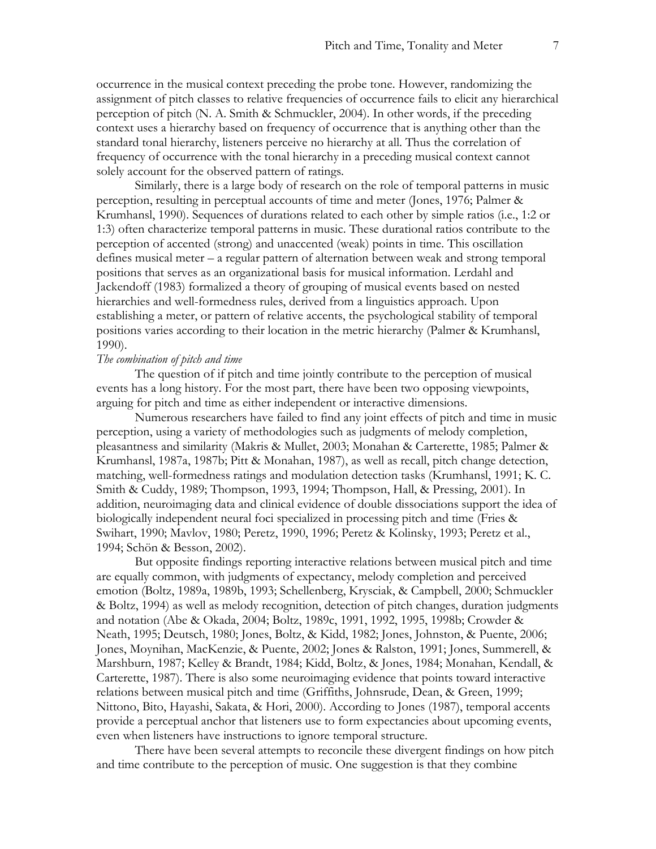occurrence in the musical context preceding the probe tone. However, randomizing the assignment of pitch classes to relative frequencies of occurrence fails to elicit any hierarchical perception of pitch (N. A. Smith & Schmuckler, 2004). In other words, if the preceding context uses a hierarchy based on frequency of occurrence that is anything other than the standard tonal hierarchy, listeners perceive no hierarchy at all. Thus the correlation of frequency of occurrence with the tonal hierarchy in a preceding musical context cannot solely account for the observed pattern of ratings.

Similarly, there is a large body of research on the role of temporal patterns in music perception, resulting in perceptual accounts of time and meter (Jones, 1976; Palmer & Krumhansl, 1990). Sequences of durations related to each other by simple ratios (i.e., 1:2 or 1:3) often characterize temporal patterns in music. These durational ratios contribute to the perception of accented (strong) and unaccented (weak) points in time. This oscillation defines musical meter – a regular pattern of alternation between weak and strong temporal positions that serves as an organizational basis for musical information. Lerdahl and Jackendoff (1983) formalized a theory of grouping of musical events based on nested hierarchies and well-formedness rules, derived from a linguistics approach. Upon establishing a meter, or pattern of relative accents, the psychological stability of temporal positions varies according to their location in the metric hierarchy (Palmer & Krumhansl, 1990).

## *The combination of pitch and time*

The question of if pitch and time jointly contribute to the perception of musical events has a long history. For the most part, there have been two opposing viewpoints, arguing for pitch and time as either independent or interactive dimensions.

Numerous researchers have failed to find any joint effects of pitch and time in music perception, using a variety of methodologies such as judgments of melody completion, pleasantness and similarity (Makris & Mullet, 2003; Monahan & Carterette, 1985; Palmer & Krumhansl, 1987a, 1987b; Pitt & Monahan, 1987), as well as recall, pitch change detection, matching, well-formedness ratings and modulation detection tasks (Krumhansl, 1991; K. C. Smith & Cuddy, 1989; Thompson, 1993, 1994; Thompson, Hall, & Pressing, 2001). In addition, neuroimaging data and clinical evidence of double dissociations support the idea of biologically independent neural foci specialized in processing pitch and time (Fries & Swihart, 1990; Mavlov, 1980; Peretz, 1990, 1996; Peretz & Kolinsky, 1993; Peretz et al., 1994; Schön & Besson, 2002).

But opposite findings reporting interactive relations between musical pitch and time are equally common, with judgments of expectancy, melody completion and perceived emotion (Boltz, 1989a, 1989b, 1993; Schellenberg, Krysciak, & Campbell, 2000; Schmuckler & Boltz, 1994) as well as melody recognition, detection of pitch changes, duration judgments and notation (Abe & Okada, 2004; Boltz, 1989c, 1991, 1992, 1995, 1998b; Crowder & Neath, 1995; Deutsch, 1980; Jones, Boltz, & Kidd, 1982; Jones, Johnston, & Puente, 2006; Jones, Moynihan, MacKenzie, & Puente, 2002; Jones & Ralston, 1991; Jones, Summerell, & Marshburn, 1987; Kelley & Brandt, 1984; Kidd, Boltz, & Jones, 1984; Monahan, Kendall, & Carterette, 1987). There is also some neuroimaging evidence that points toward interactive relations between musical pitch and time (Griffiths, Johnsrude, Dean, & Green, 1999; Nittono, Bito, Hayashi, Sakata, & Hori, 2000). According to Jones (1987), temporal accents provide a perceptual anchor that listeners use to form expectancies about upcoming events, even when listeners have instructions to ignore temporal structure.

There have been several attempts to reconcile these divergent findings on how pitch and time contribute to the perception of music. One suggestion is that they combine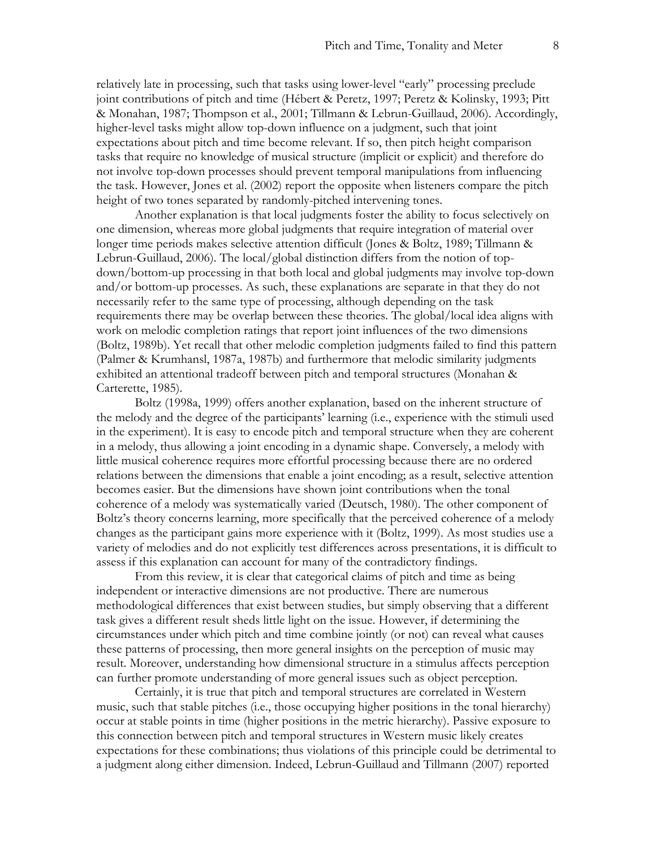relatively late in processing, such that tasks using lower-level "early" processing preclude joint contributions of pitch and time (Hébert & Peretz, 1997; Peretz & Kolinsky, 1993; Pitt & Monahan, 1987; Thompson et al., 2001; Tillmann & Lebrun-Guillaud, 2006). Accordingly, higher-level tasks might allow top-down influence on a judgment, such that joint expectations about pitch and time become relevant. If so, then pitch height comparison tasks that require no knowledge of musical structure (implicit or explicit) and therefore do not involve top-down processes should prevent temporal manipulations from influencing the task. However, Jones et al. (2002) report the opposite when listeners compare the pitch height of two tones separated by randomly-pitched intervening tones.

Another explanation is that local judgments foster the ability to focus selectively on one dimension, whereas more global judgments that require integration of material over longer time periods makes selective attention difficult (Jones & Boltz, 1989; Tillmann & Lebrun-Guillaud, 2006). The local/global distinction differs from the notion of topdown/bottom-up processing in that both local and global judgments may involve top-down and/or bottom-up processes. As such, these explanations are separate in that they do not necessarily refer to the same type of processing, although depending on the task requirements there may be overlap between these theories. The global/local idea aligns with work on melodic completion ratings that report joint influences of the two dimensions (Boltz, 1989b). Yet recall that other melodic completion judgments failed to find this pattern (Palmer & Krumhansl, 1987a, 1987b) and furthermore that melodic similarity judgments exhibited an attentional tradeoff between pitch and temporal structures (Monahan & Carterette, 1985).

Boltz (1998a, 1999) offers another explanation, based on the inherent structure of the melody and the degree of the participants' learning (i.e., experience with the stimuli used in the experiment). It is easy to encode pitch and temporal structure when they are coherent in a melody, thus allowing a joint encoding in a dynamic shape. Conversely, a melody with little musical coherence requires more effortful processing because there are no ordered relations between the dimensions that enable a joint encoding; as a result, selective attention becomes easier. But the dimensions have shown joint contributions when the tonal coherence of a melody was systematically varied (Deutsch, 1980). The other component of Boltz's theory concerns learning, more specifically that the perceived coherence of a melody changes as the participant gains more experience with it (Boltz, 1999). As most studies use a variety of melodies and do not explicitly test differences across presentations, it is difficult to assess if this explanation can account for many of the contradictory findings.

From this review, it is clear that categorical claims of pitch and time as being independent or interactive dimensions are not productive. There are numerous methodological differences that exist between studies, but simply observing that a different task gives a different result sheds little light on the issue. However, if determining the circumstances under which pitch and time combine jointly (or not) can reveal what causes these patterns of processing, then more general insights on the perception of music may result. Moreover, understanding how dimensional structure in a stimulus affects perception can further promote understanding of more general issues such as object perception.

Certainly, it is true that pitch and temporal structures are correlated in Western music, such that stable pitches (i.e., those occupying higher positions in the tonal hierarchy) occur at stable points in time (higher positions in the metric hierarchy). Passive exposure to this connection between pitch and temporal structures in Western music likely creates expectations for these combinations; thus violations of this principle could be detrimental to a judgment along either dimension. Indeed, Lebrun-Guillaud and Tillmann (2007) reported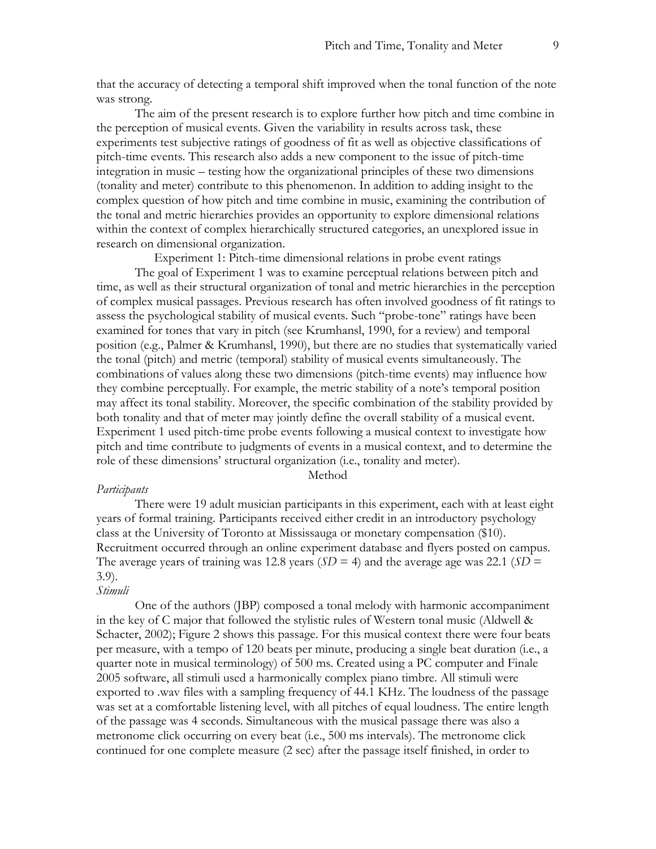that the accuracy of detecting a temporal shift improved when the tonal function of the note was strong.

The aim of the present research is to explore further how pitch and time combine in the perception of musical events. Given the variability in results across task, these experiments test subjective ratings of goodness of fit as well as objective classifications of pitch-time events. This research also adds a new component to the issue of pitch-time integration in music – testing how the organizational principles of these two dimensions (tonality and meter) contribute to this phenomenon. In addition to adding insight to the complex question of how pitch and time combine in music, examining the contribution of the tonal and metric hierarchies provides an opportunity to explore dimensional relations within the context of complex hierarchically structured categories, an unexplored issue in research on dimensional organization.

Experiment 1: Pitch-time dimensional relations in probe event ratings

The goal of Experiment 1 was to examine perceptual relations between pitch and time, as well as their structural organization of tonal and metric hierarchies in the perception of complex musical passages. Previous research has often involved goodness of fit ratings to assess the psychological stability of musical events. Such "probe-tone" ratings have been examined for tones that vary in pitch (see Krumhansl, 1990, for a review) and temporal position (e.g., Palmer & Krumhansl, 1990), but there are no studies that systematically varied the tonal (pitch) and metric (temporal) stability of musical events simultaneously. The combinations of values along these two dimensions (pitch-time events) may influence how they combine perceptually. For example, the metric stability of a note's temporal position may affect its tonal stability. Moreover, the specific combination of the stability provided by both tonality and that of meter may jointly define the overall stability of a musical event. Experiment 1 used pitch-time probe events following a musical context to investigate how pitch and time contribute to judgments of events in a musical context, and to determine the role of these dimensions' structural organization (i.e., tonality and meter).

Method

#### *Participants*

There were 19 adult musician participants in this experiment, each with at least eight years of formal training. Participants received either credit in an introductory psychology class at the University of Toronto at Mississauga or monetary compensation (\$10). Recruitment occurred through an online experiment database and flyers posted on campus. The average years of training was 12.8 years ( $SD = 4$ ) and the average age was 22.1 ( $SD = 1$ ) 3.9).

#### *Stimuli*

One of the authors (JBP) composed a tonal melody with harmonic accompaniment in the key of C major that followed the stylistic rules of Western tonal music (Aldwell & Schacter, 2002); Figure 2 shows this passage. For this musical context there were four beats per measure, with a tempo of 120 beats per minute, producing a single beat duration (i.e., a quarter note in musical terminology) of 500 ms. Created using a PC computer and Finale 2005 software, all stimuli used a harmonically complex piano timbre. All stimuli were exported to .wav files with a sampling frequency of 44.1 KHz. The loudness of the passage was set at a comfortable listening level, with all pitches of equal loudness. The entire length of the passage was 4 seconds. Simultaneous with the musical passage there was also a metronome click occurring on every beat (i.e., 500 ms intervals). The metronome click continued for one complete measure (2 sec) after the passage itself finished, in order to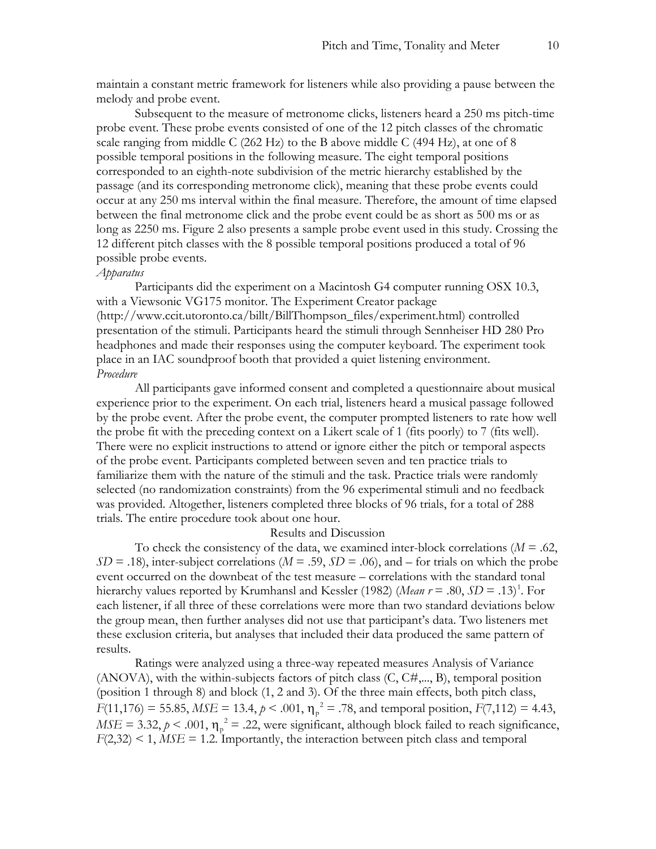maintain a constant metric framework for listeners while also providing a pause between the melody and probe event.

Subsequent to the measure of metronome clicks, listeners heard a 250 ms pitch-time probe event. These probe events consisted of one of the 12 pitch classes of the chromatic scale ranging from middle C  $(262 \text{ Hz})$  to the B above middle C  $(494 \text{ Hz})$ , at one of 8 possible temporal positions in the following measure. The eight temporal positions corresponded to an eighth-note subdivision of the metric hierarchy established by the passage (and its corresponding metronome click), meaning that these probe events could occur at any 250 ms interval within the final measure. Therefore, the amount of time elapsed between the final metronome click and the probe event could be as short as 500 ms or as long as 2250 ms. Figure 2 also presents a sample probe event used in this study. Crossing the 12 different pitch classes with the 8 possible temporal positions produced a total of 96 possible probe events.

## *Apparatus*

Participants did the experiment on a Macintosh G4 computer running OSX 10.3, with a Viewsonic VG175 monitor. The Experiment Creator package (http://www.ccit.utoronto.ca/billt/BillThompson\_files/experiment.html) controlled presentation of the stimuli. Participants heard the stimuli through Sennheiser HD 280 Pro headphones and made their responses using the computer keyboard. The experiment took place in an IAC soundproof booth that provided a quiet listening environment. *Procedure*

All participants gave informed consent and completed a questionnaire about musical experience prior to the experiment. On each trial, listeners heard a musical passage followed by the probe event. After the probe event, the computer prompted listeners to rate how well the probe fit with the preceding context on a Likert scale of 1 (fits poorly) to 7 (fits well). There were no explicit instructions to attend or ignore either the pitch or temporal aspects of the probe event. Participants completed between seven and ten practice trials to familiarize them with the nature of the stimuli and the task. Practice trials were randomly selected (no randomization constraints) from the 96 experimental stimuli and no feedback was provided. Altogether, listeners completed three blocks of 96 trials, for a total of 288 trials. The entire procedure took about one hour.

## Results and Discussion

To check the consistency of the data, we examined inter-block correlations  $(M = .62, )$  $SD = .18$ ), inter-subject correlations ( $M = .59$ ,  $SD = .06$ ), and – for trials on which the probe event occurred on the downbeat of the test measure – correlations with the standard tonal hierarchy values reported by Krumhansl and Kessler ([1](#page-38-0)982) (*Mean r* = .80, *SD* = .13)<sup>1</sup>. For each listener, if all three of these correlations were more than two standard deviations below the group mean, then further analyses did not use that participant's data. Two listeners met these exclusion criteria, but analyses that included their data produced the same pattern of results.

Ratings were analyzed using a three-way repeated measures Analysis of Variance (ANOVA), with the within-subjects factors of pitch class (C, C#,..., B), temporal position (position 1 through 8) and block (1, 2 and 3). Of the three main effects, both pitch class,  $F(11,176) = 55.85$ ,  $MSE = 13.4$ ,  $p < .001$ ,  $\eta_p^2 = .78$ , and temporal position,  $F(7,112) = 4.43$ ,  $MSE = 3.32, p < .001, \eta_p^2 = .22$ , were significant, although block failed to reach significance,  $F(2,32)$  < 1,  $MSE = 1.2$ . Importantly, the interaction between pitch class and temporal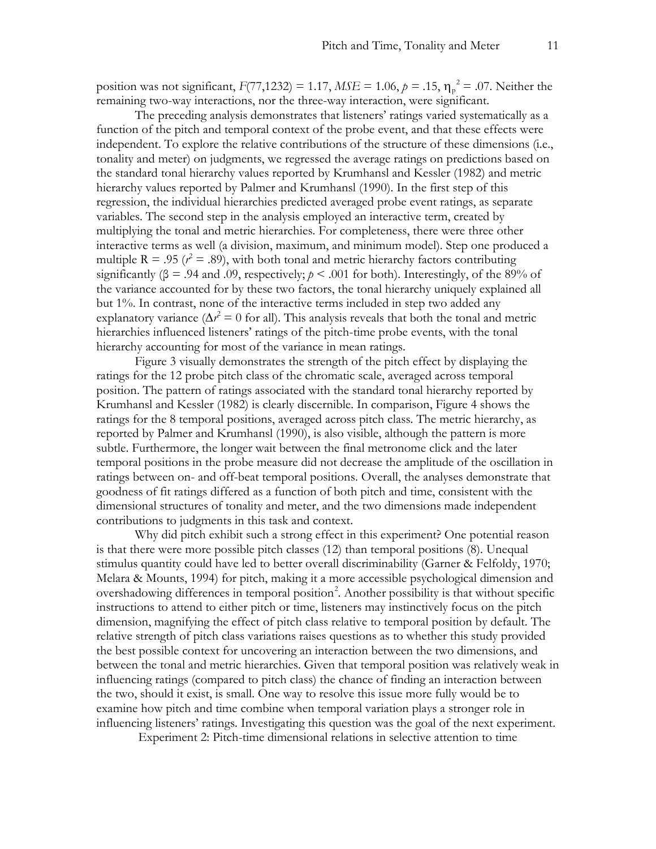position was not significant,  $F(77,1232) = 1.17$ ,  $MSE = 1.06$ ,  $p = .15$ ,  $\eta_p^2 = .07$ . Neither the remaining two-way interactions, nor the three-way interaction, were significant.

The preceding analysis demonstrates that listeners' ratings varied systematically as a function of the pitch and temporal context of the probe event, and that these effects were independent. To explore the relative contributions of the structure of these dimensions (i.e., tonality and meter) on judgments, we regressed the average ratings on predictions based on the standard tonal hierarchy values reported by Krumhansl and Kessler (1982) and metric hierarchy values reported by Palmer and Krumhansl (1990). In the first step of this regression, the individual hierarchies predicted averaged probe event ratings, as separate variables. The second step in the analysis employed an interactive term, created by multiplying the tonal and metric hierarchies. For completeness, there were three other interactive terms as well (a division, maximum, and minimum model). Step one produced a multiple R = .95 ( $r^2$  = .89), with both tonal and metric hierarchy factors contributing significantly ( $\beta$  = .94 and .09, respectively;  $p < .001$  for both). Interestingly, of the 89% of the variance accounted for by these two factors, the tonal hierarchy uniquely explained all but 1%. In contrast, none of the interactive terms included in step two added any explanatory variance ( $\Delta r^2 = 0$  for all). This analysis reveals that both the tonal and metric hierarchies influenced listeners' ratings of the pitch-time probe events, with the tonal hierarchy accounting for most of the variance in mean ratings.

Figure 3 visually demonstrates the strength of the pitch effect by displaying the ratings for the 12 probe pitch class of the chromatic scale, averaged across temporal position. The pattern of ratings associated with the standard tonal hierarchy reported by Krumhansl and Kessler (1982) is clearly discernible. In comparison, Figure 4 shows the ratings for the 8 temporal positions, averaged across pitch class. The metric hierarchy, as reported by Palmer and Krumhansl (1990), is also visible, although the pattern is more subtle. Furthermore, the longer wait between the final metronome click and the later temporal positions in the probe measure did not decrease the amplitude of the oscillation in ratings between on- and off-beat temporal positions. Overall, the analyses demonstrate that goodness of fit ratings differed as a function of both pitch and time, consistent with the dimensional structures of tonality and meter, and the two dimensions made independent contributions to judgments in this task and context.

Why did pitch exhibit such a strong effect in this experiment? One potential reason is that there were more possible pitch classes (12) than temporal positions (8). Unequal stimulus quantity could have led to better overall discriminability (Garner & Felfoldy, 1970; Melara & Mounts, 1994) for pitch, making it a more accessible psychological dimension and overshadowing differences in temporal position<sup>[2](#page-38-1)</sup>. Another possibility is that without specific instructions to attend to either pitch or time, listeners may instinctively focus on the pitch dimension, magnifying the effect of pitch class relative to temporal position by default. The relative strength of pitch class variations raises questions as to whether this study provided the best possible context for uncovering an interaction between the two dimensions, and between the tonal and metric hierarchies. Given that temporal position was relatively weak in influencing ratings (compared to pitch class) the chance of finding an interaction between the two, should it exist, is small. One way to resolve this issue more fully would be to examine how pitch and time combine when temporal variation plays a stronger role in influencing listeners' ratings. Investigating this question was the goal of the next experiment.

Experiment 2: Pitch-time dimensional relations in selective attention to time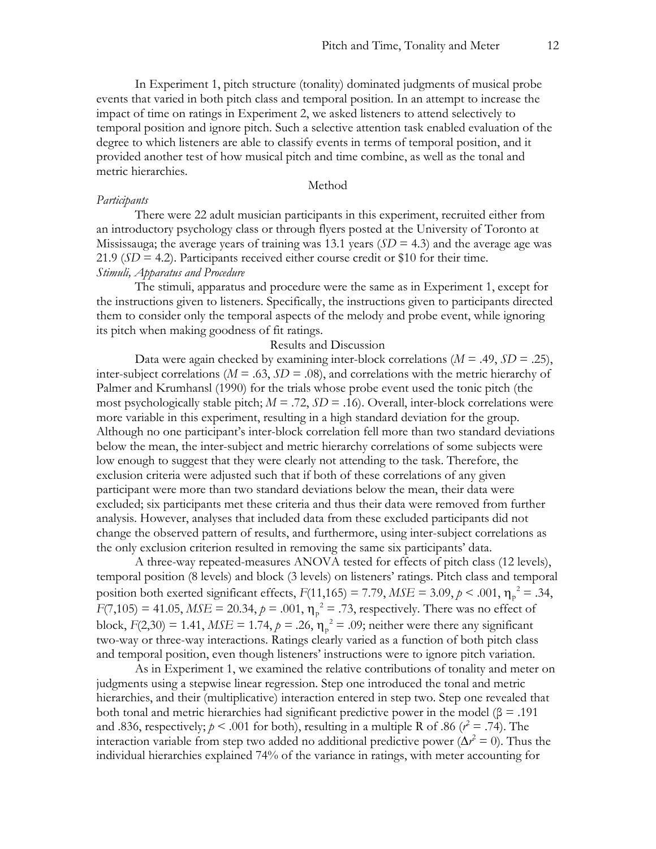In Experiment 1, pitch structure (tonality) dominated judgments of musical probe events that varied in both pitch class and temporal position. In an attempt to increase the impact of time on ratings in Experiment 2, we asked listeners to attend selectively to temporal position and ignore pitch. Such a selective attention task enabled evaluation of the degree to which listeners are able to classify events in terms of temporal position, and it provided another test of how musical pitch and time combine, as well as the tonal and metric hierarchies.

#### Method

#### *Participants*

There were 22 adult musician participants in this experiment, recruited either from an introductory psychology class or through flyers posted at the University of Toronto at Mississauga; the average years of training was 13.1 years  $(SD = 4.3)$  and the average age was 21.9 ( $SD = 4.2$ ). Participants received either course credit or \$10 for their time. *Stimuli, Apparatus and Procedure*

The stimuli, apparatus and procedure were the same as in Experiment 1, except for the instructions given to listeners. Specifically, the instructions given to participants directed them to consider only the temporal aspects of the melody and probe event, while ignoring its pitch when making goodness of fit ratings.

#### Results and Discussion

Data were again checked by examining inter-block correlations  $(M = .49, SD = .25)$ , inter-subject correlations ( $M = .63$ ,  $SD = .08$ ), and correlations with the metric hierarchy of Palmer and Krumhansl (1990) for the trials whose probe event used the tonic pitch (the most psychologically stable pitch;  $M = .72$ ,  $SD = .16$ ). Overall, inter-block correlations were more variable in this experiment, resulting in a high standard deviation for the group. Although no one participant's inter-block correlation fell more than two standard deviations below the mean, the inter-subject and metric hierarchy correlations of some subjects were low enough to suggest that they were clearly not attending to the task. Therefore, the exclusion criteria were adjusted such that if both of these correlations of any given participant were more than two standard deviations below the mean, their data were excluded; six participants met these criteria and thus their data were removed from further analysis. However, analyses that included data from these excluded participants did not change the observed pattern of results, and furthermore, using inter-subject correlations as the only exclusion criterion resulted in removing the same six participants' data.

A three-way repeated-measures ANOVA tested for effects of pitch class (12 levels), temporal position (8 levels) and block (3 levels) on listeners' ratings. Pitch class and temporal position both exerted significant effects,  $F(11,165) = 7.79$ ,  $MSE = 3.09$ ,  $p < .001$ ,  $\eta_p^2 = .34$ ,  $F(7,105) = 41.05$ ,  $MSE = 20.34$ ,  $p = .001$ ,  $\eta_p^2 = .73$ , respectively. There was no effect of block,  $F(2,30) = 1.41$ ,  $MSE = 1.74$ ,  $p = .26$ ,  $\eta_p^2 = .09$ ; neither were there any significant two-way or three-way interactions. Ratings clearly varied as a function of both pitch class and temporal position, even though listeners' instructions were to ignore pitch variation.

As in Experiment 1, we examined the relative contributions of tonality and meter on judgments using a stepwise linear regression. Step one introduced the tonal and metric hierarchies, and their (multiplicative) interaction entered in step two. Step one revealed that both tonal and metric hierarchies had significant predictive power in the model (β = .191 and .836, respectively;  $p \le 0.001$  for both), resulting in a multiple R of .86 ( $r^2 = .74$ ). The interaction variable from step two added no additional predictive power ( $\Delta r^2 = 0$ ). Thus the individual hierarchies explained 74% of the variance in ratings, with meter accounting for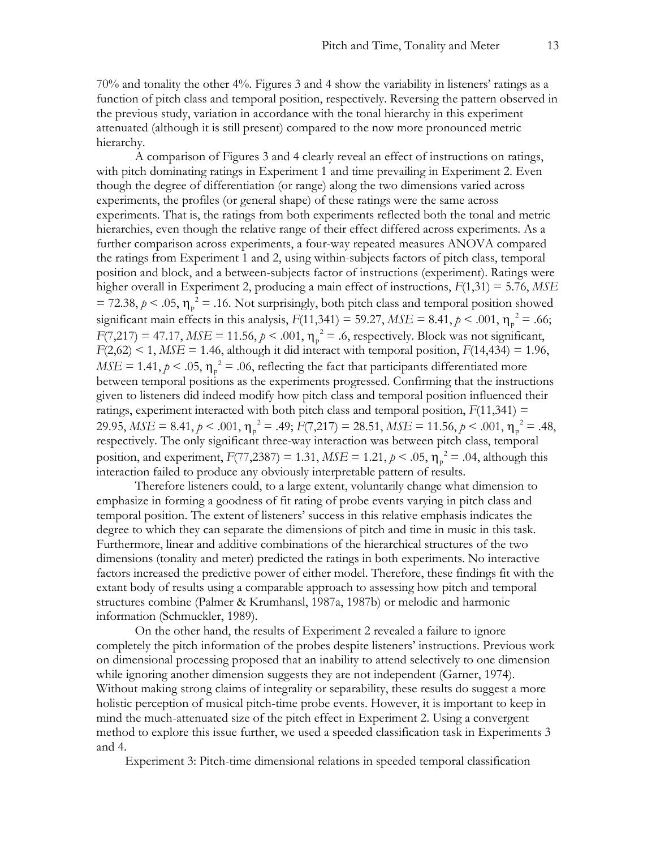70% and tonality the other 4%. Figures 3 and 4 show the variability in listeners' ratings as a function of pitch class and temporal position, respectively. Reversing the pattern observed in the previous study, variation in accordance with the tonal hierarchy in this experiment attenuated (although it is still present) compared to the now more pronounced metric hierarchy.

A comparison of Figures 3 and 4 clearly reveal an effect of instructions on ratings, with pitch dominating ratings in Experiment 1 and time prevailing in Experiment 2. Even though the degree of differentiation (or range) along the two dimensions varied across experiments, the profiles (or general shape) of these ratings were the same across experiments. That is, the ratings from both experiments reflected both the tonal and metric hierarchies, even though the relative range of their effect differed across experiments. As a further comparison across experiments, a four-way repeated measures ANOVA compared the ratings from Experiment 1 and 2, using within-subjects factors of pitch class, temporal position and block, and a between-subjects factor of instructions (experiment). Ratings were higher overall in Experiment 2, producing a main effect of instructions, *F*(1,31) = 5.76, *MSE*  $= 72.38, p \le 0.05, \eta_p^2 = 0.16$ . Not surprisingly, both pitch class and temporal position showed significant main effects in this analysis,  $F(11,341) = 59.27$ ,  $MSE = 8.41$ ,  $p < .001$ ,  $\eta_p^2 = .66$ ;  $F(7,217) = 47.17$ ,  $MSE = 11.56$ ,  $p < .001$ ,  $\eta_p^2 = .6$ , respectively. Block was not significant,  $F(2,62)$  < 1,  $MSE = 1.46$ , although it did interact with temporal position,  $F(14,434) = 1.96$ ,  $MSE = 1.41, p \le 0.05, \eta_p^2 = 0.06$ , reflecting the fact that participants differentiated more between temporal positions as the experiments progressed. Confirming that the instructions given to listeners did indeed modify how pitch class and temporal position influenced their ratings, experiment interacted with both pitch class and temporal position,  $F(11,341) =$ 29.95,  $MSE = 8.41$ ,  $p < .001$ ,  $\eta_p^2 = .49$ ;  $F(7,217) = 28.51$ ,  $MSE = 11.56$ ,  $p < .001$ ,  $\eta_p^2 = .48$ , respectively. The only significant three-way interaction was between pitch class, temporal position, and experiment,  $F(77,2387) = 1.31$ ,  $MSE = 1.21$ ,  $p < .05$ ,  $\eta_p^2 = .04$ , although this interaction failed to produce any obviously interpretable pattern of results.

Therefore listeners could, to a large extent, voluntarily change what dimension to emphasize in forming a goodness of fit rating of probe events varying in pitch class and temporal position. The extent of listeners' success in this relative emphasis indicates the degree to which they can separate the dimensions of pitch and time in music in this task. Furthermore, linear and additive combinations of the hierarchical structures of the two dimensions (tonality and meter) predicted the ratings in both experiments. No interactive factors increased the predictive power of either model. Therefore, these findings fit with the extant body of results using a comparable approach to assessing how pitch and temporal structures combine (Palmer & Krumhansl, 1987a, 1987b) or melodic and harmonic information (Schmuckler, 1989).

On the other hand, the results of Experiment 2 revealed a failure to ignore completely the pitch information of the probes despite listeners' instructions. Previous work on dimensional processing proposed that an inability to attend selectively to one dimension while ignoring another dimension suggests they are not independent (Garner, 1974). Without making strong claims of integrality or separability, these results do suggest a more holistic perception of musical pitch-time probe events. However, it is important to keep in mind the much-attenuated size of the pitch effect in Experiment 2. Using a convergent method to explore this issue further, we used a speeded classification task in Experiments 3 and 4.

Experiment 3: Pitch-time dimensional relations in speeded temporal classification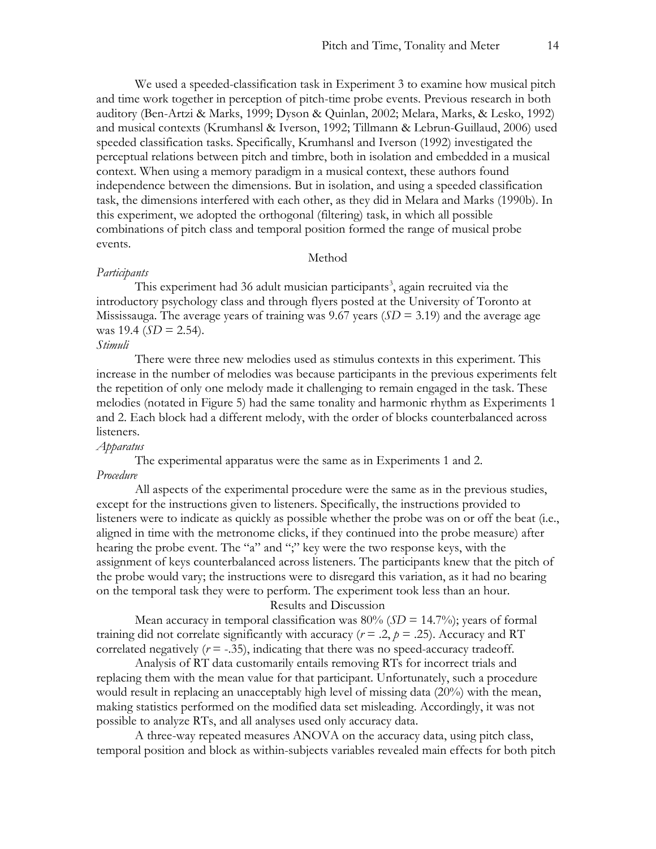We used a speeded-classification task in Experiment 3 to examine how musical pitch and time work together in perception of pitch-time probe events. Previous research in both auditory (Ben-Artzi & Marks, 1999; Dyson & Quinlan, 2002; Melara, Marks, & Lesko, 1992) and musical contexts (Krumhansl & Iverson, 1992; Tillmann & Lebrun-Guillaud, 2006) used speeded classification tasks. Specifically, Krumhansl and Iverson (1992) investigated the perceptual relations between pitch and timbre, both in isolation and embedded in a musical context. When using a memory paradigm in a musical context, these authors found independence between the dimensions. But in isolation, and using a speeded classification task, the dimensions interfered with each other, as they did in Melara and Marks (1990b). In this experiment, we adopted the orthogonal (filtering) task, in which all possible combinations of pitch class and temporal position formed the range of musical probe events.

## Method

## *Participants*

This experiment had [3](#page-38-2)6 adult musician participants<sup>3</sup>, again recruited via the introductory psychology class and through flyers posted at the University of Toronto at Mississauga. The average years of training was 9.67 years (*SD* = 3.19) and the average age was 19.4 (*SD* = 2.54).

## *Stimuli*

There were three new melodies used as stimulus contexts in this experiment. This increase in the number of melodies was because participants in the previous experiments felt the repetition of only one melody made it challenging to remain engaged in the task. These melodies (notated in Figure 5) had the same tonality and harmonic rhythm as Experiments 1 and 2. Each block had a different melody, with the order of blocks counterbalanced across listeners.

## *Apparatus*

The experimental apparatus were the same as in Experiments 1 and 2. *Procedure*

All aspects of the experimental procedure were the same as in the previous studies, except for the instructions given to listeners. Specifically, the instructions provided to listeners were to indicate as quickly as possible whether the probe was on or off the beat (i.e., aligned in time with the metronome clicks, if they continued into the probe measure) after hearing the probe event. The "a" and ";" key were the two response keys, with the assignment of keys counterbalanced across listeners. The participants knew that the pitch of the probe would vary; the instructions were to disregard this variation, as it had no bearing on the temporal task they were to perform. The experiment took less than an hour. Results and Discussion

Mean accuracy in temporal classification was  $80\%$  ( $SD = 14.7\%$ ); years of formal

training did not correlate significantly with accuracy  $(r = .2, p = .25)$ . Accuracy and RT correlated negatively  $(r = -.35)$ , indicating that there was no speed-accuracy tradeoff.

Analysis of RT data customarily entails removing RTs for incorrect trials and replacing them with the mean value for that participant. Unfortunately, such a procedure would result in replacing an unacceptably high level of missing data (20%) with the mean, making statistics performed on the modified data set misleading. Accordingly, it was not possible to analyze RTs, and all analyses used only accuracy data.

A three-way repeated measures ANOVA on the accuracy data, using pitch class, temporal position and block as within-subjects variables revealed main effects for both pitch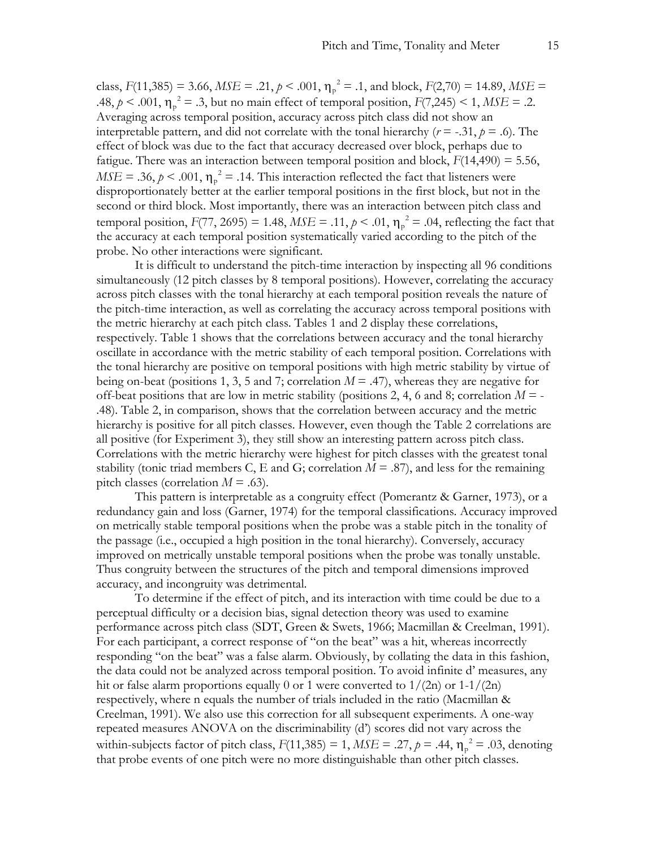class,  $F(11,385) = 3.66$ ,  $MSE = .21$ ,  $p < .001$ ,  $\eta_p^2 = .1$ , and block,  $F(2,70) = 14.89$ ,  $MSE =$ .48,  $p < .001$ ,  $\eta_p^2 = .3$ , but no main effect of temporal position,  $F(7,245) < 1$ ,  $MSE = .2$ . Averaging across temporal position, accuracy across pitch class did not show an interpretable pattern, and did not correlate with the tonal hierarchy  $(r = -.31, p = .6)$ . The effect of block was due to the fact that accuracy decreased over block, perhaps due to fatigue. There was an interaction between temporal position and block, *F*(14,490) = 5.56,  $MSE = .36$ ,  $p < .001$ ,  $\eta_p^2 = .14$ . This interaction reflected the fact that listeners were disproportionately better at the earlier temporal positions in the first block, but not in the second or third block. Most importantly, there was an interaction between pitch class and temporal position,  $F(77, 2695) = 1.48$ ,  $MSE = .11$ ,  $p < .01$ ,  $\eta_p^2 = .04$ , reflecting the fact that the accuracy at each temporal position systematically varied according to the pitch of the probe. No other interactions were significant.

It is difficult to understand the pitch-time interaction by inspecting all 96 conditions simultaneously (12 pitch classes by 8 temporal positions). However, correlating the accuracy across pitch classes with the tonal hierarchy at each temporal position reveals the nature of the pitch-time interaction, as well as correlating the accuracy across temporal positions with the metric hierarchy at each pitch class. Tables 1 and 2 display these correlations, respectively. Table 1 shows that the correlations between accuracy and the tonal hierarchy oscillate in accordance with the metric stability of each temporal position. Correlations with the tonal hierarchy are positive on temporal positions with high metric stability by virtue of being on-beat (positions 1, 3, 5 and 7; correlation *M* = .47), whereas they are negative for off-beat positions that are low in metric stability (positions 2, 4, 6 and 8; correlation  $M = -$ .48). Table 2, in comparison, shows that the correlation between accuracy and the metric hierarchy is positive for all pitch classes. However, even though the Table 2 correlations are all positive (for Experiment 3), they still show an interesting pattern across pitch class. Correlations with the metric hierarchy were highest for pitch classes with the greatest tonal stability (tonic triad members C, E and G; correlation  $M = .87$ ), and less for the remaining pitch classes (correlation *M* = .63).

This pattern is interpretable as a congruity effect (Pomerantz & Garner, 1973), or a redundancy gain and loss (Garner, 1974) for the temporal classifications. Accuracy improved on metrically stable temporal positions when the probe was a stable pitch in the tonality of the passage (i.e., occupied a high position in the tonal hierarchy). Conversely, accuracy improved on metrically unstable temporal positions when the probe was tonally unstable. Thus congruity between the structures of the pitch and temporal dimensions improved accuracy, and incongruity was detrimental.

To determine if the effect of pitch, and its interaction with time could be due to a perceptual difficulty or a decision bias, signal detection theory was used to examine performance across pitch class (SDT, Green & Swets, 1966; Macmillan & Creelman, 1991). For each participant, a correct response of "on the beat" was a hit, whereas incorrectly responding "on the beat" was a false alarm. Obviously, by collating the data in this fashion, the data could not be analyzed across temporal position. To avoid infinite d' measures, any hit or false alarm proportions equally 0 or 1 were converted to  $1/(2n)$  or  $1-1/(2n)$ respectively, where n equals the number of trials included in the ratio (Macmillan & Creelman, 1991). We also use this correction for all subsequent experiments. A one-way repeated measures ANOVA on the discriminability (d') scores did not vary across the within-subjects factor of pitch class,  $F(11,385) = 1$ ,  $MSE = .27$ ,  $p = .44$ ,  $\eta_p^2 = .03$ , denoting that probe events of one pitch were no more distinguishable than other pitch classes.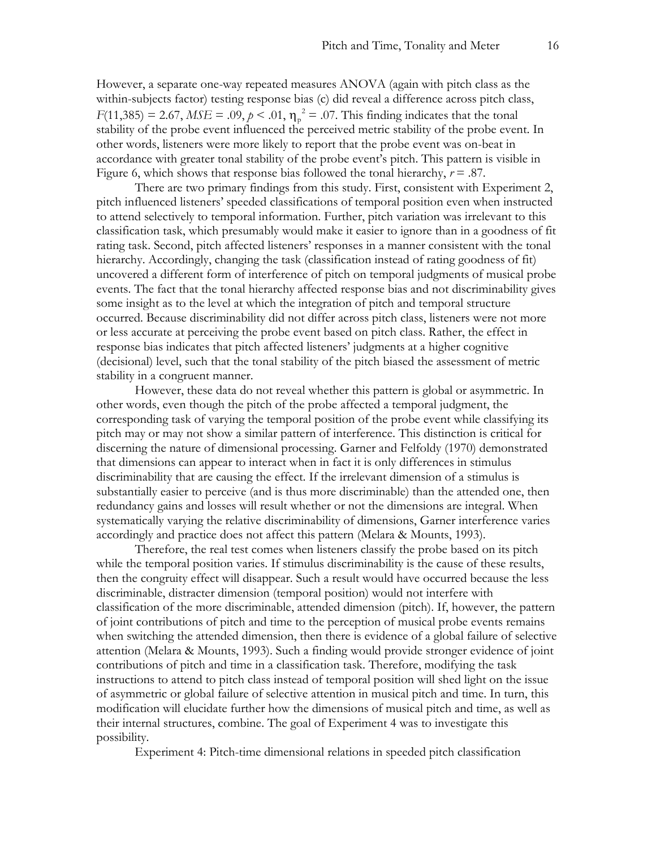However, a separate one-way repeated measures ANOVA (again with pitch class as the within-subjects factor) testing response bias (c) did reveal a difference across pitch class,  $F(11,385) = 2.67$ ,  $MSE = .09$ ,  $p < .01$ ,  $\eta_p^2 = .07$ . This finding indicates that the tonal stability of the probe event influenced the perceived metric stability of the probe event. In other words, listeners were more likely to report that the probe event was on-beat in accordance with greater tonal stability of the probe event's pitch. This pattern is visible in Figure 6, which shows that response bias followed the tonal hierarchy,  $r = .87$ .

There are two primary findings from this study. First, consistent with Experiment 2, pitch influenced listeners' speeded classifications of temporal position even when instructed to attend selectively to temporal information. Further, pitch variation was irrelevant to this classification task, which presumably would make it easier to ignore than in a goodness of fit rating task. Second, pitch affected listeners' responses in a manner consistent with the tonal hierarchy. Accordingly, changing the task (classification instead of rating goodness of fit) uncovered a different form of interference of pitch on temporal judgments of musical probe events. The fact that the tonal hierarchy affected response bias and not discriminability gives some insight as to the level at which the integration of pitch and temporal structure occurred. Because discriminability did not differ across pitch class, listeners were not more or less accurate at perceiving the probe event based on pitch class. Rather, the effect in response bias indicates that pitch affected listeners' judgments at a higher cognitive (decisional) level, such that the tonal stability of the pitch biased the assessment of metric stability in a congruent manner.

However, these data do not reveal whether this pattern is global or asymmetric. In other words, even though the pitch of the probe affected a temporal judgment, the corresponding task of varying the temporal position of the probe event while classifying its pitch may or may not show a similar pattern of interference. This distinction is critical for discerning the nature of dimensional processing. Garner and Felfoldy (1970) demonstrated that dimensions can appear to interact when in fact it is only differences in stimulus discriminability that are causing the effect. If the irrelevant dimension of a stimulus is substantially easier to perceive (and is thus more discriminable) than the attended one, then redundancy gains and losses will result whether or not the dimensions are integral. When systematically varying the relative discriminability of dimensions, Garner interference varies accordingly and practice does not affect this pattern (Melara & Mounts, 1993).

Therefore, the real test comes when listeners classify the probe based on its pitch while the temporal position varies. If stimulus discriminability is the cause of these results, then the congruity effect will disappear. Such a result would have occurred because the less discriminable, distracter dimension (temporal position) would not interfere with classification of the more discriminable, attended dimension (pitch). If, however, the pattern of joint contributions of pitch and time to the perception of musical probe events remains when switching the attended dimension, then there is evidence of a global failure of selective attention (Melara & Mounts, 1993). Such a finding would provide stronger evidence of joint contributions of pitch and time in a classification task. Therefore, modifying the task instructions to attend to pitch class instead of temporal position will shed light on the issue of asymmetric or global failure of selective attention in musical pitch and time. In turn, this modification will elucidate further how the dimensions of musical pitch and time, as well as their internal structures, combine. The goal of Experiment 4 was to investigate this possibility.

Experiment 4: Pitch-time dimensional relations in speeded pitch classification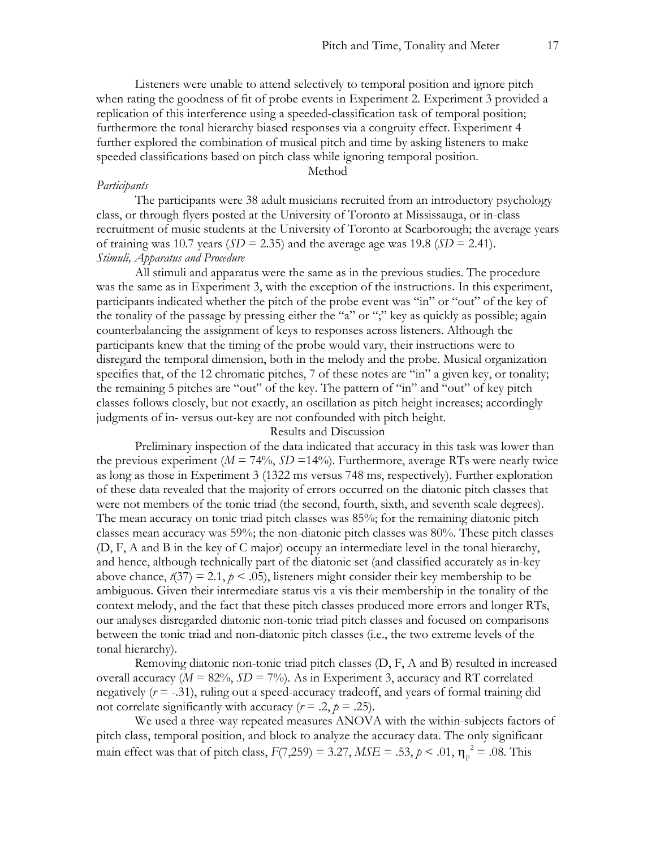Listeners were unable to attend selectively to temporal position and ignore pitch when rating the goodness of fit of probe events in Experiment 2. Experiment 3 provided a replication of this interference using a speeded-classification task of temporal position; furthermore the tonal hierarchy biased responses via a congruity effect. Experiment 4 further explored the combination of musical pitch and time by asking listeners to make speeded classifications based on pitch class while ignoring temporal position.

## Method

#### *Participants*

The participants were 38 adult musicians recruited from an introductory psychology class, or through flyers posted at the University of Toronto at Mississauga, or in-class recruitment of music students at the University of Toronto at Scarborough; the average years of training was 10.7 years ( $SD = 2.35$ ) and the average age was 19.8 ( $SD = 2.41$ ). *Stimuli, Apparatus and Procedure*

All stimuli and apparatus were the same as in the previous studies. The procedure was the same as in Experiment 3, with the exception of the instructions. In this experiment, participants indicated whether the pitch of the probe event was "in" or "out" of the key of the tonality of the passage by pressing either the "a" or ";" key as quickly as possible; again counterbalancing the assignment of keys to responses across listeners. Although the participants knew that the timing of the probe would vary, their instructions were to disregard the temporal dimension, both in the melody and the probe. Musical organization specifies that, of the 12 chromatic pitches, 7 of these notes are "in" a given key, or tonality; the remaining 5 pitches are "out" of the key. The pattern of "in" and "out" of key pitch classes follows closely, but not exactly, an oscillation as pitch height increases; accordingly judgments of in- versus out-key are not confounded with pitch height.

## Results and Discussion

Preliminary inspection of the data indicated that accuracy in this task was lower than the previous experiment ( $M = 74\%$ ,  $SD = 14\%$ ). Furthermore, average RTs were nearly twice as long as those in Experiment 3 (1322 ms versus 748 ms, respectively). Further exploration of these data revealed that the majority of errors occurred on the diatonic pitch classes that were not members of the tonic triad (the second, fourth, sixth, and seventh scale degrees). The mean accuracy on tonic triad pitch classes was 85%; for the remaining diatonic pitch classes mean accuracy was 59%; the non-diatonic pitch classes was 80%. These pitch classes (D, F, A and B in the key of C major) occupy an intermediate level in the tonal hierarchy, and hence, although technically part of the diatonic set (and classified accurately as in-key above chance,  $t(37) = 2.1$ ,  $p < .05$ ), listeners might consider their key membership to be ambiguous. Given their intermediate status vis a vis their membership in the tonality of the context melody, and the fact that these pitch classes produced more errors and longer RTs, our analyses disregarded diatonic non-tonic triad pitch classes and focused on comparisons between the tonic triad and non-diatonic pitch classes (i.e., the two extreme levels of the tonal hierarchy).

Removing diatonic non-tonic triad pitch classes (D, F, A and B) resulted in increased overall accuracy ( $M = 82\%$ ,  $SD = 7\%$ ). As in Experiment 3, accuracy and RT correlated negatively (*r* = -.31), ruling out a speed-accuracy tradeoff, and years of formal training did not correlate significantly with accuracy ( $r = .2$ ,  $p = .25$ ).

We used a three-way repeated measures ANOVA with the within-subjects factors of pitch class, temporal position, and block to analyze the accuracy data. The only significant main effect was that of pitch class,  $F(7,259) = 3.27$ ,  $MSE = .53$ ,  $p < .01$ ,  $\eta_p^2 = .08$ . This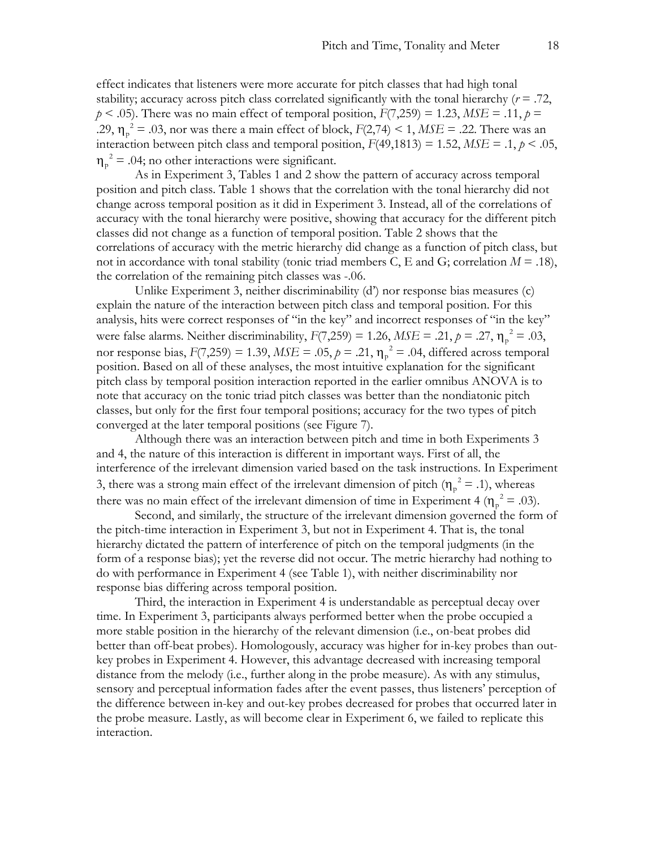effect indicates that listeners were more accurate for pitch classes that had high tonal stability; accuracy across pitch class correlated significantly with the tonal hierarchy  $(r = .72, )$  $p < .05$ ). There was no main effect of temporal position,  $F(7,259) = 1.23$ ,  $MSE = .11$ ,  $p =$ .29,  $\eta_p^2 = 0.03$ , nor was there a main effect of block,  $F(2,74) \le 1$ ,  $MSE = 0.22$ . There was an interaction between pitch class and temporal position,  $F(49,1813) = 1.52$ ,  $MSE = .1$ ,  $p < .05$ ,  $\eta_p^2$  = .04; no other interactions were significant.

As in Experiment 3, Tables 1 and 2 show the pattern of accuracy across temporal position and pitch class. Table 1 shows that the correlation with the tonal hierarchy did not change across temporal position as it did in Experiment 3. Instead, all of the correlations of accuracy with the tonal hierarchy were positive, showing that accuracy for the different pitch classes did not change as a function of temporal position. Table 2 shows that the correlations of accuracy with the metric hierarchy did change as a function of pitch class, but not in accordance with tonal stability (tonic triad members C, E and G; correlation  $M = .18$ ), the correlation of the remaining pitch classes was -.06.

Unlike Experiment 3, neither discriminability (d') nor response bias measures (c) explain the nature of the interaction between pitch class and temporal position. For this analysis, hits were correct responses of "in the key" and incorrect responses of "in the key" were false alarms. Neither discriminability,  $F(7,259) = 1.26$ ,  $MSE = .21$ ,  $p = .27$ ,  $\eta_p^2 = .03$ , nor response bias,  $F(7,259) = 1.39$ ,  $MSE = .05$ ,  $p = .21$ ,  $\eta_p^2 = .04$ , differed across temporal position. Based on all of these analyses, the most intuitive explanation for the significant pitch class by temporal position interaction reported in the earlier omnibus ANOVA is to note that accuracy on the tonic triad pitch classes was better than the nondiatonic pitch classes, but only for the first four temporal positions; accuracy for the two types of pitch converged at the later temporal positions (see Figure 7).

Although there was an interaction between pitch and time in both Experiments 3 and 4, the nature of this interaction is different in important ways. First of all, the interference of the irrelevant dimension varied based on the task instructions. In Experiment 3, there was a strong main effect of the irrelevant dimension of pitch  $(\eta_p^2 = .1)$ , whereas there was no main effect of the irrelevant dimension of time in Experiment 4 ( $\eta_p^2 = .03$ ).

Second, and similarly, the structure of the irrelevant dimension governed the form of the pitch-time interaction in Experiment 3, but not in Experiment 4. That is, the tonal hierarchy dictated the pattern of interference of pitch on the temporal judgments (in the form of a response bias); yet the reverse did not occur. The metric hierarchy had nothing to do with performance in Experiment 4 (see Table 1), with neither discriminability nor response bias differing across temporal position.

Third, the interaction in Experiment 4 is understandable as perceptual decay over time. In Experiment 3, participants always performed better when the probe occupied a more stable position in the hierarchy of the relevant dimension (i.e., on-beat probes did better than off-beat probes). Homologously, accuracy was higher for in-key probes than outkey probes in Experiment 4. However, this advantage decreased with increasing temporal distance from the melody (i.e., further along in the probe measure). As with any stimulus, sensory and perceptual information fades after the event passes, thus listeners' perception of the difference between in-key and out-key probes decreased for probes that occurred later in the probe measure. Lastly, as will become clear in Experiment 6, we failed to replicate this interaction.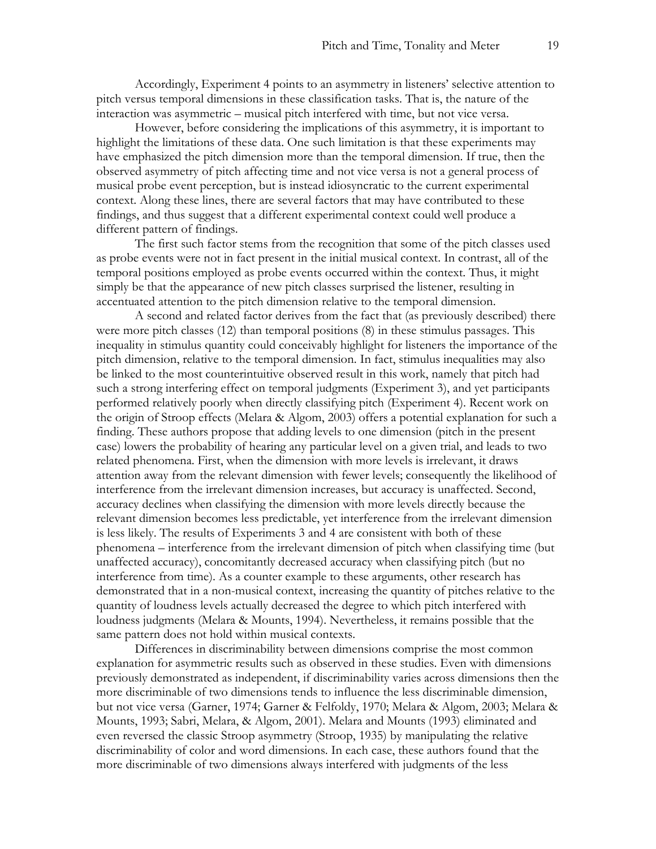Accordingly, Experiment 4 points to an asymmetry in listeners' selective attention to pitch versus temporal dimensions in these classification tasks. That is, the nature of the interaction was asymmetric – musical pitch interfered with time, but not vice versa.

However, before considering the implications of this asymmetry, it is important to highlight the limitations of these data. One such limitation is that these experiments may have emphasized the pitch dimension more than the temporal dimension. If true, then the observed asymmetry of pitch affecting time and not vice versa is not a general process of musical probe event perception, but is instead idiosyncratic to the current experimental context. Along these lines, there are several factors that may have contributed to these findings, and thus suggest that a different experimental context could well produce a different pattern of findings.

The first such factor stems from the recognition that some of the pitch classes used as probe events were not in fact present in the initial musical context. In contrast, all of the temporal positions employed as probe events occurred within the context. Thus, it might simply be that the appearance of new pitch classes surprised the listener, resulting in accentuated attention to the pitch dimension relative to the temporal dimension.

A second and related factor derives from the fact that (as previously described) there were more pitch classes (12) than temporal positions (8) in these stimulus passages. This inequality in stimulus quantity could conceivably highlight for listeners the importance of the pitch dimension, relative to the temporal dimension. In fact, stimulus inequalities may also be linked to the most counterintuitive observed result in this work, namely that pitch had such a strong interfering effect on temporal judgments (Experiment 3), and yet participants performed relatively poorly when directly classifying pitch (Experiment 4). Recent work on the origin of Stroop effects (Melara & Algom, 2003) offers a potential explanation for such a finding. These authors propose that adding levels to one dimension (pitch in the present case) lowers the probability of hearing any particular level on a given trial, and leads to two related phenomena. First, when the dimension with more levels is irrelevant, it draws attention away from the relevant dimension with fewer levels; consequently the likelihood of interference from the irrelevant dimension increases, but accuracy is unaffected. Second, accuracy declines when classifying the dimension with more levels directly because the relevant dimension becomes less predictable, yet interference from the irrelevant dimension is less likely. The results of Experiments 3 and 4 are consistent with both of these phenomena – interference from the irrelevant dimension of pitch when classifying time (but unaffected accuracy), concomitantly decreased accuracy when classifying pitch (but no interference from time). As a counter example to these arguments, other research has demonstrated that in a non-musical context, increasing the quantity of pitches relative to the quantity of loudness levels actually decreased the degree to which pitch interfered with loudness judgments (Melara & Mounts, 1994). Nevertheless, it remains possible that the same pattern does not hold within musical contexts.

Differences in discriminability between dimensions comprise the most common explanation for asymmetric results such as observed in these studies. Even with dimensions previously demonstrated as independent, if discriminability varies across dimensions then the more discriminable of two dimensions tends to influence the less discriminable dimension, but not vice versa (Garner, 1974; Garner & Felfoldy, 1970; Melara & Algom, 2003; Melara & Mounts, 1993; Sabri, Melara, & Algom, 2001). Melara and Mounts (1993) eliminated and even reversed the classic Stroop asymmetry (Stroop, 1935) by manipulating the relative discriminability of color and word dimensions. In each case, these authors found that the more discriminable of two dimensions always interfered with judgments of the less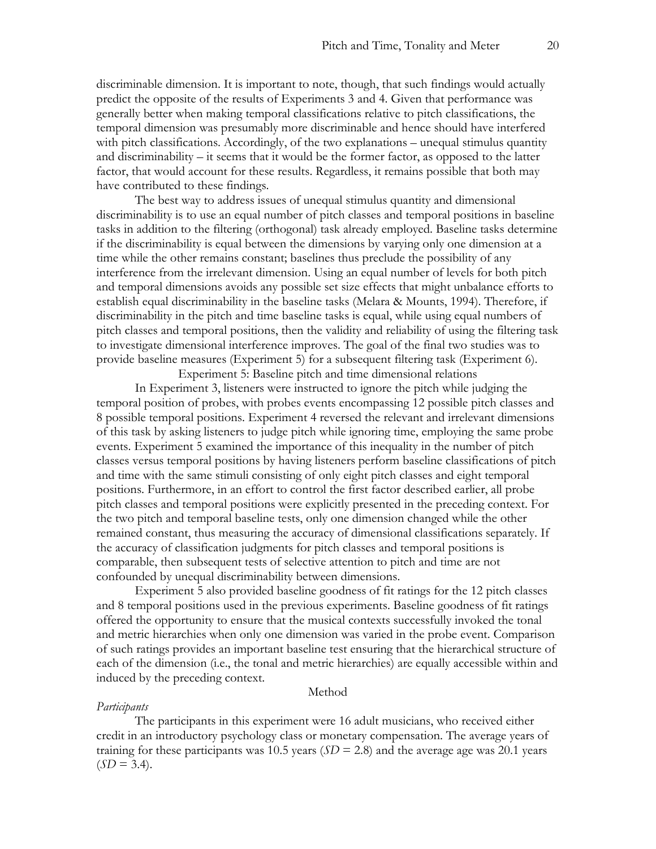discriminable dimension. It is important to note, though, that such findings would actually predict the opposite of the results of Experiments 3 and 4. Given that performance was generally better when making temporal classifications relative to pitch classifications, the temporal dimension was presumably more discriminable and hence should have interfered with pitch classifications. Accordingly, of the two explanations – unequal stimulus quantity and discriminability – it seems that it would be the former factor, as opposed to the latter factor, that would account for these results. Regardless, it remains possible that both may have contributed to these findings.

The best way to address issues of unequal stimulus quantity and dimensional discriminability is to use an equal number of pitch classes and temporal positions in baseline tasks in addition to the filtering (orthogonal) task already employed. Baseline tasks determine if the discriminability is equal between the dimensions by varying only one dimension at a time while the other remains constant; baselines thus preclude the possibility of any interference from the irrelevant dimension. Using an equal number of levels for both pitch and temporal dimensions avoids any possible set size effects that might unbalance efforts to establish equal discriminability in the baseline tasks (Melara & Mounts, 1994). Therefore, if discriminability in the pitch and time baseline tasks is equal, while using equal numbers of pitch classes and temporal positions, then the validity and reliability of using the filtering task to investigate dimensional interference improves. The goal of the final two studies was to provide baseline measures (Experiment 5) for a subsequent filtering task (Experiment 6).

Experiment 5: Baseline pitch and time dimensional relations In Experiment 3, listeners were instructed to ignore the pitch while judging the temporal position of probes, with probes events encompassing 12 possible pitch classes and 8 possible temporal positions. Experiment 4 reversed the relevant and irrelevant dimensions of this task by asking listeners to judge pitch while ignoring time, employing the same probe events. Experiment 5 examined the importance of this inequality in the number of pitch classes versus temporal positions by having listeners perform baseline classifications of pitch and time with the same stimuli consisting of only eight pitch classes and eight temporal positions. Furthermore, in an effort to control the first factor described earlier, all probe pitch classes and temporal positions were explicitly presented in the preceding context. For the two pitch and temporal baseline tests, only one dimension changed while the other remained constant, thus measuring the accuracy of dimensional classifications separately. If the accuracy of classification judgments for pitch classes and temporal positions is comparable, then subsequent tests of selective attention to pitch and time are not confounded by unequal discriminability between dimensions.

Experiment 5 also provided baseline goodness of fit ratings for the 12 pitch classes and 8 temporal positions used in the previous experiments. Baseline goodness of fit ratings offered the opportunity to ensure that the musical contexts successfully invoked the tonal and metric hierarchies when only one dimension was varied in the probe event. Comparison of such ratings provides an important baseline test ensuring that the hierarchical structure of each of the dimension (i.e., the tonal and metric hierarchies) are equally accessible within and induced by the preceding context.

#### Method

## *Participants*

The participants in this experiment were 16 adult musicians, who received either credit in an introductory psychology class or monetary compensation. The average years of training for these participants was 10.5 years  $(SD = 2.8)$  and the average age was 20.1 years  $(SD = 3.4)$ .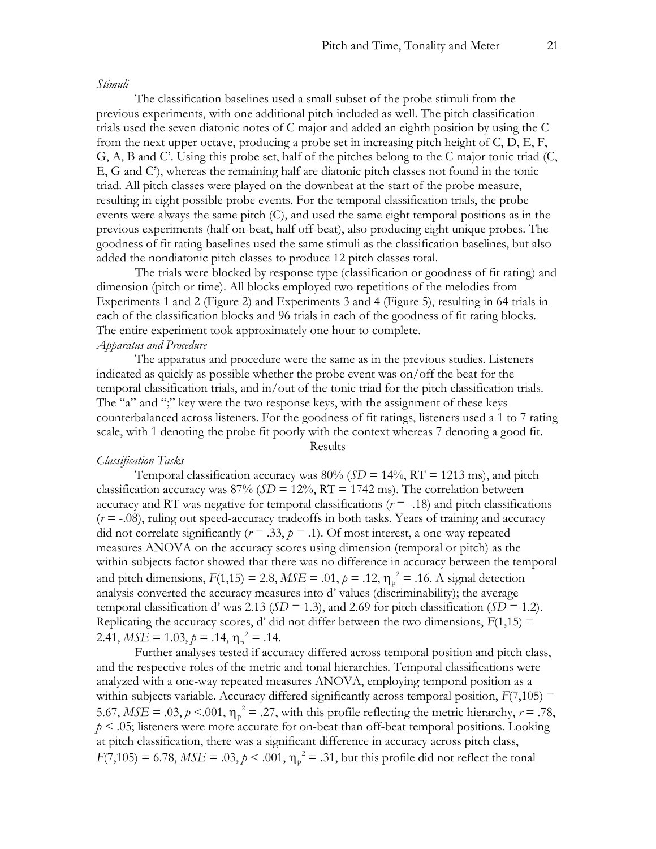#### *Stimuli*

The classification baselines used a small subset of the probe stimuli from the previous experiments, with one additional pitch included as well. The pitch classification trials used the seven diatonic notes of C major and added an eighth position by using the C from the next upper octave, producing a probe set in increasing pitch height of C, D, E, F, G, A, B and C'. Using this probe set, half of the pitches belong to the C major tonic triad (C, E, G and C'), whereas the remaining half are diatonic pitch classes not found in the tonic triad. All pitch classes were played on the downbeat at the start of the probe measure, resulting in eight possible probe events. For the temporal classification trials, the probe events were always the same pitch (C), and used the same eight temporal positions as in the previous experiments (half on-beat, half off-beat), also producing eight unique probes. The goodness of fit rating baselines used the same stimuli as the classification baselines, but also added the nondiatonic pitch classes to produce 12 pitch classes total.

The trials were blocked by response type (classification or goodness of fit rating) and dimension (pitch or time). All blocks employed two repetitions of the melodies from Experiments 1 and 2 (Figure 2) and Experiments 3 and 4 (Figure 5), resulting in 64 trials in each of the classification blocks and 96 trials in each of the goodness of fit rating blocks. The entire experiment took approximately one hour to complete. *Apparatus and Procedure*

The apparatus and procedure were the same as in the previous studies. Listeners indicated as quickly as possible whether the probe event was on/off the beat for the temporal classification trials, and in/out of the tonic triad for the pitch classification trials. The "a" and ";" key were the two response keys, with the assignment of these keys counterbalanced across listeners. For the goodness of fit ratings, listeners used a 1 to 7 rating scale, with 1 denoting the probe fit poorly with the context whereas 7 denoting a good fit. Results

## *Classification Tasks*

Temporal classification accuracy was  $80\%$  ( $SD = 14\%$ ,  $RT = 1213$  ms), and pitch classification accuracy was  $87\%$  (*SD* =  $12\%$ , RT = 1742 ms). The correlation between accuracy and RT was negative for temporal classifications  $(r = -18)$  and pitch classifications (*r* = -.08), ruling out speed-accuracy tradeoffs in both tasks. Years of training and accuracy did not correlate significantly  $(r = .33, p = .1)$ . Of most interest, a one-way repeated measures ANOVA on the accuracy scores using dimension (temporal or pitch) as the within-subjects factor showed that there was no difference in accuracy between the temporal and pitch dimensions,  $F(1,15) = 2.8$ ,  $MSE = .01$ ,  $p = .12$ ,  $\eta_p^2 = .16$ . A signal detection analysis converted the accuracy measures into d' values (discriminability); the average temporal classification d' was 2.13 ( $SD = 1.3$ ), and 2.69 for pitch classification ( $SD = 1.2$ ). Replicating the accuracy scores, d' did not differ between the two dimensions,  $F(1,15)$  = 2.41,  $MSE = 1.03$ ,  $p = .14$ ,  $\eta_p^2 = .14$ .

Further analyses tested if accuracy differed across temporal position and pitch class, and the respective roles of the metric and tonal hierarchies. Temporal classifications were analyzed with a one-way repeated measures ANOVA, employing temporal position as a within-subjects variable. Accuracy differed significantly across temporal position, *F*(7,105) = 5.67, *MSE* = .03,  $p \le 0.001$ ,  $\eta_p^2 = .27$ , with this profile reflecting the metric hierarchy,  $r = .78$ ,  $p < .05$ ; listeners were more accurate for on-beat than off-beat temporal positions. Looking at pitch classification, there was a significant difference in accuracy across pitch class,  $F(7,105) = 6.78, MSE = .03, p < .001, \eta_p^2 = .31$ , but this profile did not reflect the tonal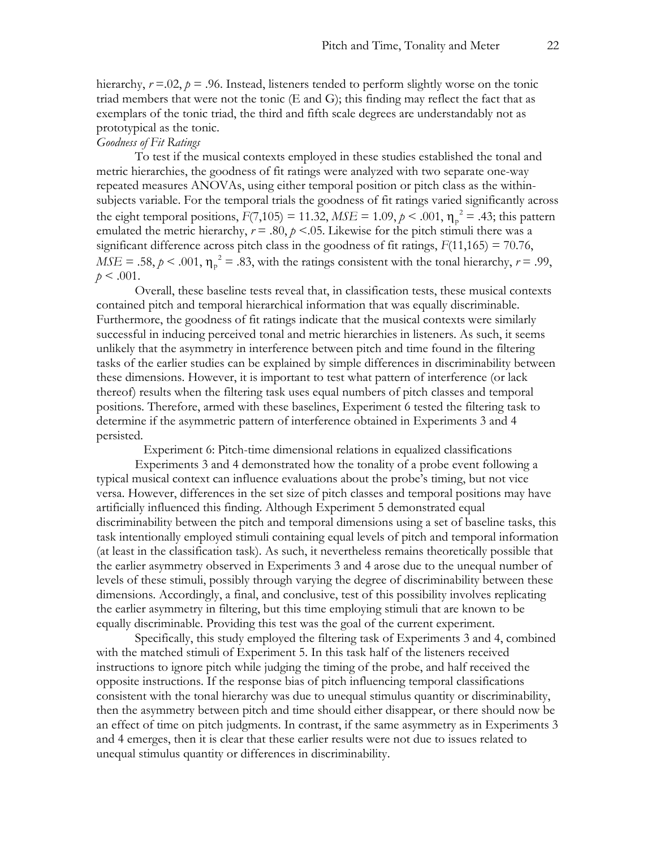hierarchy,  $r = .02$ ,  $p = .96$ . Instead, listeners tended to perform slightly worse on the tonic triad members that were not the tonic  $(E \text{ and } G)$ ; this finding may reflect the fact that as exemplars of the tonic triad, the third and fifth scale degrees are understandably not as prototypical as the tonic.

## *Goodness of Fit Ratings*

To test if the musical contexts employed in these studies established the tonal and metric hierarchies, the goodness of fit ratings were analyzed with two separate one-way repeated measures ANOVAs, using either temporal position or pitch class as the withinsubjects variable. For the temporal trials the goodness of fit ratings varied significantly across the eight temporal positions,  $F(7,105) = 11.32$ ,  $MSE = 1.09$ ,  $p < .001$ ,  $\eta_p^2 = .43$ ; this pattern emulated the metric hierarchy,  $r = .80$ ,  $p < .05$ . Likewise for the pitch stimuli there was a significant difference across pitch class in the goodness of fit ratings, *F*(11,165) = 70.76,  $MSE = .58, p < .001, \eta_p^2 = .83$ , with the ratings consistent with the tonal hierarchy,  $r = .99$ ,  $p < .001$ .

Overall, these baseline tests reveal that, in classification tests, these musical contexts contained pitch and temporal hierarchical information that was equally discriminable. Furthermore, the goodness of fit ratings indicate that the musical contexts were similarly successful in inducing perceived tonal and metric hierarchies in listeners. As such, it seems unlikely that the asymmetry in interference between pitch and time found in the filtering tasks of the earlier studies can be explained by simple differences in discriminability between these dimensions. However, it is important to test what pattern of interference (or lack thereof) results when the filtering task uses equal numbers of pitch classes and temporal positions. Therefore, armed with these baselines, Experiment 6 tested the filtering task to determine if the asymmetric pattern of interference obtained in Experiments 3 and 4 persisted.

Experiment 6: Pitch-time dimensional relations in equalized classifications

Experiments 3 and 4 demonstrated how the tonality of a probe event following a typical musical context can influence evaluations about the probe's timing, but not vice versa. However, differences in the set size of pitch classes and temporal positions may have artificially influenced this finding. Although Experiment 5 demonstrated equal discriminability between the pitch and temporal dimensions using a set of baseline tasks, this task intentionally employed stimuli containing equal levels of pitch and temporal information (at least in the classification task). As such, it nevertheless remains theoretically possible that the earlier asymmetry observed in Experiments 3 and 4 arose due to the unequal number of levels of these stimuli, possibly through varying the degree of discriminability between these dimensions. Accordingly, a final, and conclusive, test of this possibility involves replicating the earlier asymmetry in filtering, but this time employing stimuli that are known to be equally discriminable. Providing this test was the goal of the current experiment.

Specifically, this study employed the filtering task of Experiments 3 and 4, combined with the matched stimuli of Experiment 5. In this task half of the listeners received instructions to ignore pitch while judging the timing of the probe, and half received the opposite instructions. If the response bias of pitch influencing temporal classifications consistent with the tonal hierarchy was due to unequal stimulus quantity or discriminability, then the asymmetry between pitch and time should either disappear, or there should now be an effect of time on pitch judgments. In contrast, if the same asymmetry as in Experiments 3 and 4 emerges, then it is clear that these earlier results were not due to issues related to unequal stimulus quantity or differences in discriminability.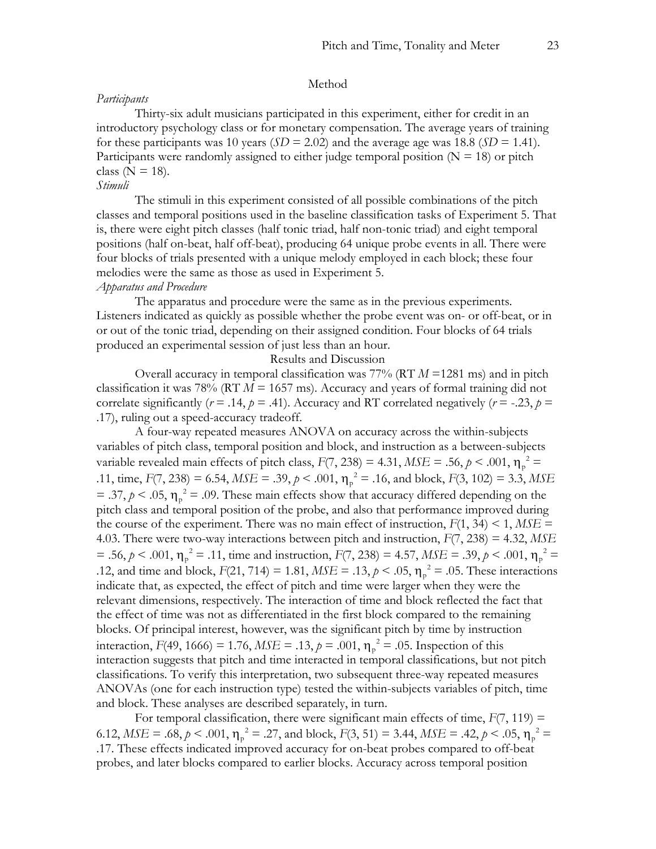#### Method

## *Participants*

Thirty-six adult musicians participated in this experiment, either for credit in an introductory psychology class or for monetary compensation. The average years of training for these participants was 10 years ( $SD = 2.02$ ) and the average age was 18.8 ( $SD = 1.41$ ). Participants were randomly assigned to either judge temporal position  $(N = 18)$  or pitch class ( $N = 18$ ).

## *Stimuli*

The stimuli in this experiment consisted of all possible combinations of the pitch classes and temporal positions used in the baseline classification tasks of Experiment 5. That is, there were eight pitch classes (half tonic triad, half non-tonic triad) and eight temporal positions (half on-beat, half off-beat), producing 64 unique probe events in all. There were four blocks of trials presented with a unique melody employed in each block; these four melodies were the same as those as used in Experiment 5.

#### *Apparatus and Procedure*

The apparatus and procedure were the same as in the previous experiments. Listeners indicated as quickly as possible whether the probe event was on- or off-beat, or in or out of the tonic triad, depending on their assigned condition. Four blocks of 64 trials produced an experimental session of just less than an hour.

## Results and Discussion

Overall accuracy in temporal classification was 77% (RT *M* =1281 ms) and in pitch classification it was 78% (RT *M* = 1657 ms). Accuracy and years of formal training did not correlate significantly ( $r = .14$ ,  $p = .41$ ). Accuracy and RT correlated negatively ( $r = .23$ ,  $p =$ .17), ruling out a speed-accuracy tradeoff.

A four-way repeated measures ANOVA on accuracy across the within-subjects variables of pitch class, temporal position and block, and instruction as a between-subjects variable revealed main effects of pitch class,  $F(7, 238) = 4.31$ ,  $MSE = .56$ ,  $p < .001$ ,  $\eta_p^2 =$ .11, time,  $F(7, 238) = 6.54$ ,  $MSE = .39$ ,  $p < .001$ ,  $\eta_p^2 = .16$ , and block,  $F(3, 102) = 3.3$ ,  $MSE$  $= .37, p < .05, \eta_p^2 = .09$ . These main effects show that accuracy differed depending on the pitch class and temporal position of the probe, and also that performance improved during the course of the experiment. There was no main effect of instruction,  $F(1, 34) \le 1$ ,  $MSE =$ 4.03. There were two-way interactions between pitch and instruction, *F*(7, 238) = 4.32, *MSE*  $= .56, p < .001, \eta_p^2 = .11$ , time and instruction,  $F(7, 238) = 4.57, MSE = .39, p < .001, \eta_p^2 = .11$ .12, and time and block,  $F(21, 714) = 1.81$ ,  $MSE = .13$ ,  $p < .05$ ,  $\eta_p^2 = .05$ . These interactions indicate that, as expected, the effect of pitch and time were larger when they were the relevant dimensions, respectively. The interaction of time and block reflected the fact that the effect of time was not as differentiated in the first block compared to the remaining blocks. Of principal interest, however, was the significant pitch by time by instruction interaction,  $F(49, 1666) = 1.76$ ,  $MSE = .13$ ,  $p = .001$ ,  $\eta_p^2 = .05$ . Inspection of this interaction suggests that pitch and time interacted in temporal classifications, but not pitch classifications. To verify this interpretation, two subsequent three-way repeated measures ANOVAs (one for each instruction type) tested the within-subjects variables of pitch, time and block. These analyses are described separately, in turn.

For temporal classification, there were significant main effects of time, *F*(7, 119) = 6.12,  $MSE = .68$ ,  $p < .001$ ,  $\eta_p^2 = .27$ , and block,  $F(3, 51) = 3.44$ ,  $MSE = .42$ ,  $p < .05$ ,  $\eta_p^2 =$ .17. These effects indicated improved accuracy for on-beat probes compared to off-beat probes, and later blocks compared to earlier blocks. Accuracy across temporal position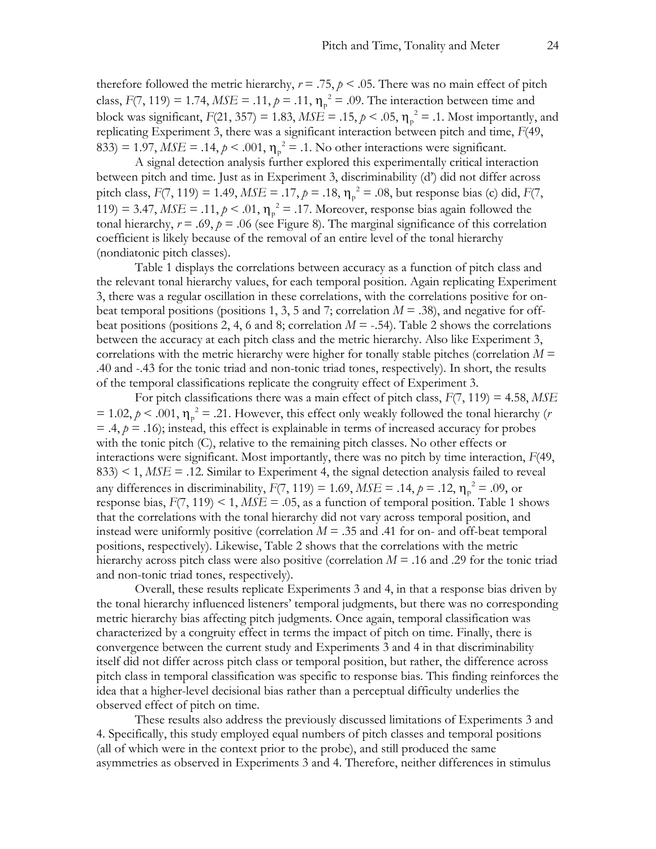therefore followed the metric hierarchy,  $r = .75$ ,  $p < .05$ . There was no main effect of pitch class,  $F(7, 119) = 1.74$ ,  $MSE = .11$ ,  $p = .11$ ,  $\eta_p^2 = .09$ . The interaction between time and block was significant,  $F(21, 357) = 1.83$ ,  $MSE = .15$ ,  $p < .05$ ,  $\eta_p^2 = .1$ . Most importantly, and replicating Experiment 3, there was a significant interaction between pitch and time, *F*(49, 833) = 1.97,  $MSE = .14$ ,  $p < .001$ ,  $\eta_p^2 = .1$ . No other interactions were significant.

A signal detection analysis further explored this experimentally critical interaction between pitch and time. Just as in Experiment 3, discriminability (d') did not differ across pitch class,  $F(7, 119) = 1.49$ ,  $MSE = .17$ ,  $p = .18$ ,  $\eta_p^2 = .08$ , but response bias (c) did,  $F(7, 119) = 1.49$ ,  $MSE = .17$ ,  $p = .18$ ,  $\eta_p^2 = .08$ , but response bias (c) did,  $F(7, 119) = .18$ 119) = 3.47,  $MSE = .11$ ,  $p < .01$ ,  $\eta_p^2 = .17$ . Moreover, response bias again followed the tonal hierarchy,  $r = .69$ ,  $p = .06$  (see Figure 8). The marginal significance of this correlation coefficient is likely because of the removal of an entire level of the tonal hierarchy (nondiatonic pitch classes).

Table 1 displays the correlations between accuracy as a function of pitch class and the relevant tonal hierarchy values, for each temporal position. Again replicating Experiment 3, there was a regular oscillation in these correlations, with the correlations positive for onbeat temporal positions (positions 1, 3, 5 and 7; correlation *M* = .38), and negative for offbeat positions (positions 2, 4, 6 and 8; correlation  $M = -0.54$ ). Table 2 shows the correlations between the accuracy at each pitch class and the metric hierarchy. Also like Experiment 3, correlations with the metric hierarchy were higher for tonally stable pitches (correlation  $M =$ .40 and -.43 for the tonic triad and non-tonic triad tones, respectively). In short, the results of the temporal classifications replicate the congruity effect of Experiment 3.

For pitch classifications there was a main effect of pitch class, *F*(7, 119) = 4.58, *MSE*  $= 1.02, p \le 0.001, \eta_p^2 = 0.21$ . However, this effect only weakly followed the tonal hierarchy (*r*  $= 0.4$ ,  $p = 0.16$ ; instead, this effect is explainable in terms of increased accuracy for probes with the tonic pitch (C), relative to the remaining pitch classes. No other effects or interactions were significant. Most importantly, there was no pitch by time interaction, *F*(49,  $833$ )  $\leq$  1, *MSE* = .12. Similar to Experiment 4, the signal detection analysis failed to reveal any differences in discriminability,  $F(7, 119) = 1.69$ ,  $MSE = .14$ ,  $p = .12$ ,  $\eta_p^2 = .09$ , or response bias,  $F(7, 119) \le 1$ ,  $MSE = .05$ , as a function of temporal position. Table 1 shows that the correlations with the tonal hierarchy did not vary across temporal position, and instead were uniformly positive (correlation  $M = .35$  and .41 for on- and off-beat temporal positions, respectively). Likewise, Table 2 shows that the correlations with the metric hierarchy across pitch class were also positive (correlation  $M = .16$  and .29 for the tonic triad and non-tonic triad tones, respectively).

Overall, these results replicate Experiments 3 and 4, in that a response bias driven by the tonal hierarchy influenced listeners' temporal judgments, but there was no corresponding metric hierarchy bias affecting pitch judgments. Once again, temporal classification was characterized by a congruity effect in terms the impact of pitch on time. Finally, there is convergence between the current study and Experiments 3 and 4 in that discriminability itself did not differ across pitch class or temporal position, but rather, the difference across pitch class in temporal classification was specific to response bias. This finding reinforces the idea that a higher-level decisional bias rather than a perceptual difficulty underlies the observed effect of pitch on time.

These results also address the previously discussed limitations of Experiments 3 and 4. Specifically, this study employed equal numbers of pitch classes and temporal positions (all of which were in the context prior to the probe), and still produced the same asymmetries as observed in Experiments 3 and 4. Therefore, neither differences in stimulus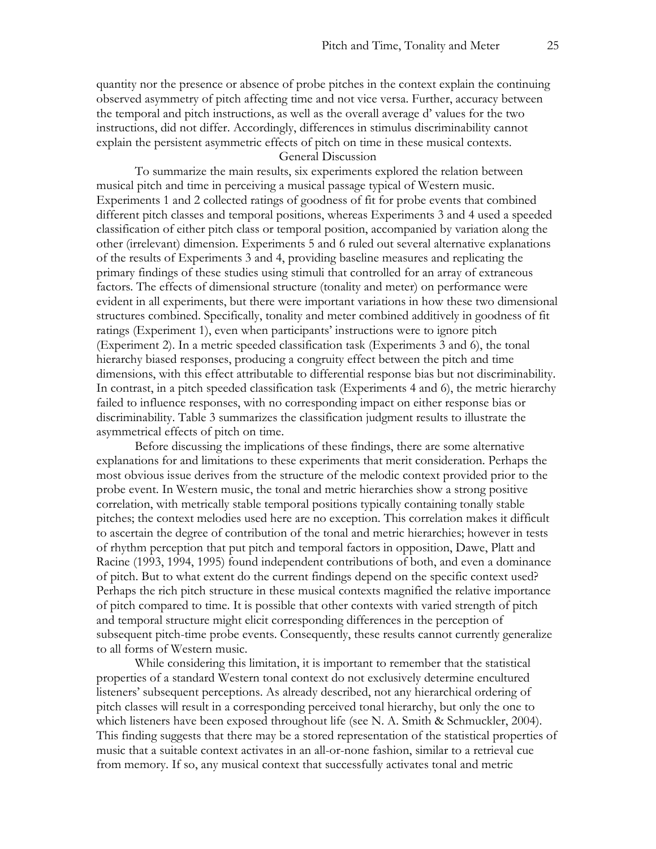quantity nor the presence or absence of probe pitches in the context explain the continuing observed asymmetry of pitch affecting time and not vice versa. Further, accuracy between the temporal and pitch instructions, as well as the overall average d' values for the two instructions, did not differ. Accordingly, differences in stimulus discriminability cannot explain the persistent asymmetric effects of pitch on time in these musical contexts.

## General Discussion

To summarize the main results, six experiments explored the relation between musical pitch and time in perceiving a musical passage typical of Western music. Experiments 1 and 2 collected ratings of goodness of fit for probe events that combined different pitch classes and temporal positions, whereas Experiments 3 and 4 used a speeded classification of either pitch class or temporal position, accompanied by variation along the other (irrelevant) dimension. Experiments 5 and 6 ruled out several alternative explanations of the results of Experiments 3 and 4, providing baseline measures and replicating the primary findings of these studies using stimuli that controlled for an array of extraneous factors. The effects of dimensional structure (tonality and meter) on performance were evident in all experiments, but there were important variations in how these two dimensional structures combined. Specifically, tonality and meter combined additively in goodness of fit ratings (Experiment 1), even when participants' instructions were to ignore pitch (Experiment 2). In a metric speeded classification task (Experiments 3 and 6), the tonal hierarchy biased responses, producing a congruity effect between the pitch and time dimensions, with this effect attributable to differential response bias but not discriminability. In contrast, in a pitch speeded classification task (Experiments 4 and 6), the metric hierarchy failed to influence responses, with no corresponding impact on either response bias or discriminability. Table 3 summarizes the classification judgment results to illustrate the asymmetrical effects of pitch on time.

Before discussing the implications of these findings, there are some alternative explanations for and limitations to these experiments that merit consideration. Perhaps the most obvious issue derives from the structure of the melodic context provided prior to the probe event. In Western music, the tonal and metric hierarchies show a strong positive correlation, with metrically stable temporal positions typically containing tonally stable pitches; the context melodies used here are no exception. This correlation makes it difficult to ascertain the degree of contribution of the tonal and metric hierarchies; however in tests of rhythm perception that put pitch and temporal factors in opposition, Dawe, Platt and Racine (1993, 1994, 1995) found independent contributions of both, and even a dominance of pitch. But to what extent do the current findings depend on the specific context used? Perhaps the rich pitch structure in these musical contexts magnified the relative importance of pitch compared to time. It is possible that other contexts with varied strength of pitch and temporal structure might elicit corresponding differences in the perception of subsequent pitch-time probe events. Consequently, these results cannot currently generalize to all forms of Western music.

While considering this limitation, it is important to remember that the statistical properties of a standard Western tonal context do not exclusively determine encultured listeners' subsequent perceptions. As already described, not any hierarchical ordering of pitch classes will result in a corresponding perceived tonal hierarchy, but only the one to which listeners have been exposed throughout life (see N. A. Smith & Schmuckler, 2004). This finding suggests that there may be a stored representation of the statistical properties of music that a suitable context activates in an all-or-none fashion, similar to a retrieval cue from memory. If so, any musical context that successfully activates tonal and metric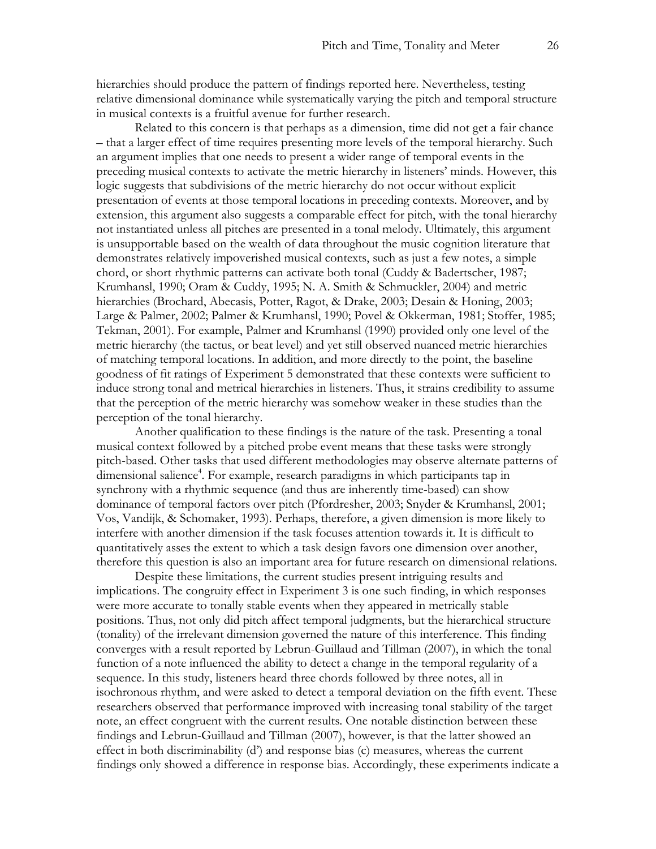hierarchies should produce the pattern of findings reported here. Nevertheless, testing relative dimensional dominance while systematically varying the pitch and temporal structure in musical contexts is a fruitful avenue for further research.

Related to this concern is that perhaps as a dimension, time did not get a fair chance – that a larger effect of time requires presenting more levels of the temporal hierarchy. Such an argument implies that one needs to present a wider range of temporal events in the preceding musical contexts to activate the metric hierarchy in listeners' minds. However, this logic suggests that subdivisions of the metric hierarchy do not occur without explicit presentation of events at those temporal locations in preceding contexts. Moreover, and by extension, this argument also suggests a comparable effect for pitch, with the tonal hierarchy not instantiated unless all pitches are presented in a tonal melody. Ultimately, this argument is unsupportable based on the wealth of data throughout the music cognition literature that demonstrates relatively impoverished musical contexts, such as just a few notes, a simple chord, or short rhythmic patterns can activate both tonal (Cuddy & Badertscher, 1987; Krumhansl, 1990; Oram & Cuddy, 1995; N. A. Smith & Schmuckler, 2004) and metric hierarchies (Brochard, Abecasis, Potter, Ragot, & Drake, 2003; Desain & Honing, 2003; Large & Palmer, 2002; Palmer & Krumhansl, 1990; Povel & Okkerman, 1981; Stoffer, 1985; Tekman, 2001). For example, Palmer and Krumhansl (1990) provided only one level of the metric hierarchy (the tactus, or beat level) and yet still observed nuanced metric hierarchies of matching temporal locations. In addition, and more directly to the point, the baseline goodness of fit ratings of Experiment 5 demonstrated that these contexts were sufficient to induce strong tonal and metrical hierarchies in listeners. Thus, it strains credibility to assume that the perception of the metric hierarchy was somehow weaker in these studies than the perception of the tonal hierarchy.

Another qualification to these findings is the nature of the task. Presenting a tonal musical context followed by a pitched probe event means that these tasks were strongly pitch-based. Other tasks that used different methodologies may observe alternate patterns of dimensional salience<sup>4</sup>. For example, research paradigms in which participants tap in synchrony with a rhythmic sequence (and thus are inherently time-based) can show dominance of temporal factors over pitch (Pfordresher, 2003; Snyder & Krumhansl, 2001; Vos, Vandijk, & Schomaker, 1993). Perhaps, therefore, a given dimension is more likely to interfere with another dimension if the task focuses attention towards it. It is difficult to quantitatively asses the extent to which a task design favors one dimension over another, therefore this question is also an important area for future research on dimensional relations.

Despite these limitations, the current studies present intriguing results and implications. The congruity effect in Experiment 3 is one such finding, in which responses were more accurate to tonally stable events when they appeared in metrically stable positions. Thus, not only did pitch affect temporal judgments, but the hierarchical structure (tonality) of the irrelevant dimension governed the nature of this interference. This finding converges with a result reported by Lebrun-Guillaud and Tillman (2007), in which the tonal function of a note influenced the ability to detect a change in the temporal regularity of a sequence. In this study, listeners heard three chords followed by three notes, all in isochronous rhythm, and were asked to detect a temporal deviation on the fifth event. These researchers observed that performance improved with increasing tonal stability of the target note, an effect congruent with the current results. One notable distinction between these findings and Lebrun-Guillaud and Tillman (2007), however, is that the latter showed an effect in both discriminability (d') and response bias (c) measures, whereas the current findings only showed a difference in response bias. Accordingly, these experiments indicate a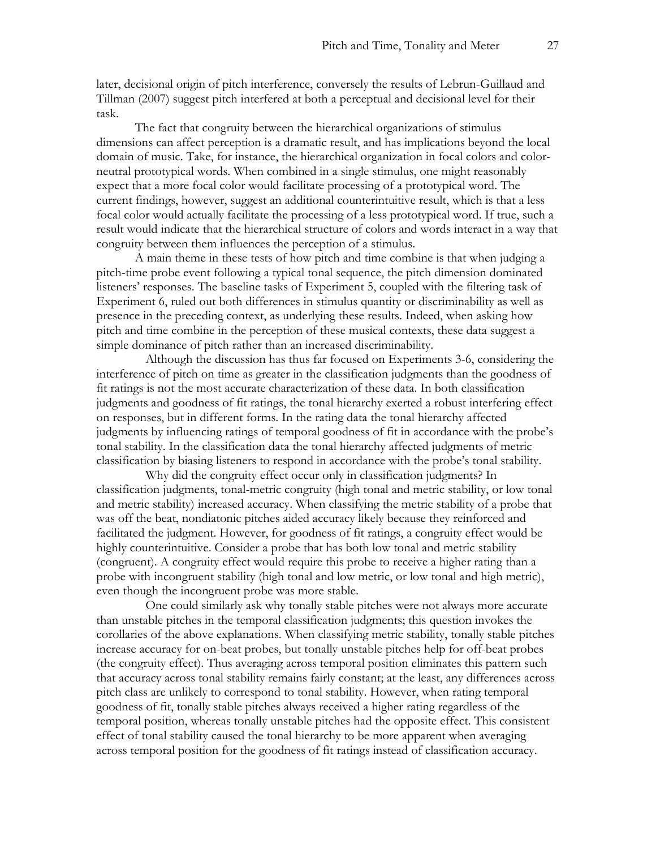later, decisional origin of pitch interference, conversely the results of Lebrun-Guillaud and Tillman (2007) suggest pitch interfered at both a perceptual and decisional level for their task.

The fact that congruity between the hierarchical organizations of stimulus dimensions can affect perception is a dramatic result, and has implications beyond the local domain of music. Take, for instance, the hierarchical organization in focal colors and colorneutral prototypical words. When combined in a single stimulus, one might reasonably expect that a more focal color would facilitate processing of a prototypical word. The current findings, however, suggest an additional counterintuitive result, which is that a less focal color would actually facilitate the processing of a less prototypical word. If true, such a result would indicate that the hierarchical structure of colors and words interact in a way that congruity between them influences the perception of a stimulus.

A main theme in these tests of how pitch and time combine is that when judging a pitch-time probe event following a typical tonal sequence, the pitch dimension dominated listeners' responses. The baseline tasks of Experiment 5, coupled with the filtering task of Experiment 6, ruled out both differences in stimulus quantity or discriminability as well as presence in the preceding context, as underlying these results. Indeed, when asking how pitch and time combine in the perception of these musical contexts, these data suggest a simple dominance of pitch rather than an increased discriminability.

Although the discussion has thus far focused on Experiments 3-6, considering the interference of pitch on time as greater in the classification judgments than the goodness of fit ratings is not the most accurate characterization of these data. In both classification judgments and goodness of fit ratings, the tonal hierarchy exerted a robust interfering effect on responses, but in different forms. In the rating data the tonal hierarchy affected judgments by influencing ratings of temporal goodness of fit in accordance with the probe's tonal stability. In the classification data the tonal hierarchy affected judgments of metric classification by biasing listeners to respond in accordance with the probe's tonal stability.

Why did the congruity effect occur only in classification judgments? In classification judgments, tonal-metric congruity (high tonal and metric stability, or low tonal and metric stability) increased accuracy. When classifying the metric stability of a probe that was off the beat, nondiatonic pitches aided accuracy likely because they reinforced and facilitated the judgment. However, for goodness of fit ratings, a congruity effect would be highly counterintuitive. Consider a probe that has both low tonal and metric stability (congruent). A congruity effect would require this probe to receive a higher rating than a probe with incongruent stability (high tonal and low metric, or low tonal and high metric), even though the incongruent probe was more stable.

One could similarly ask why tonally stable pitches were not always more accurate than unstable pitches in the temporal classification judgments; this question invokes the corollaries of the above explanations. When classifying metric stability, tonally stable pitches increase accuracy for on-beat probes, but tonally unstable pitches help for off-beat probes (the congruity effect). Thus averaging across temporal position eliminates this pattern such that accuracy across tonal stability remains fairly constant; at the least, any differences across pitch class are unlikely to correspond to tonal stability. However, when rating temporal goodness of fit, tonally stable pitches always received a higher rating regardless of the temporal position, whereas tonally unstable pitches had the opposite effect. This consistent effect of tonal stability caused the tonal hierarchy to be more apparent when averaging across temporal position for the goodness of fit ratings instead of classification accuracy.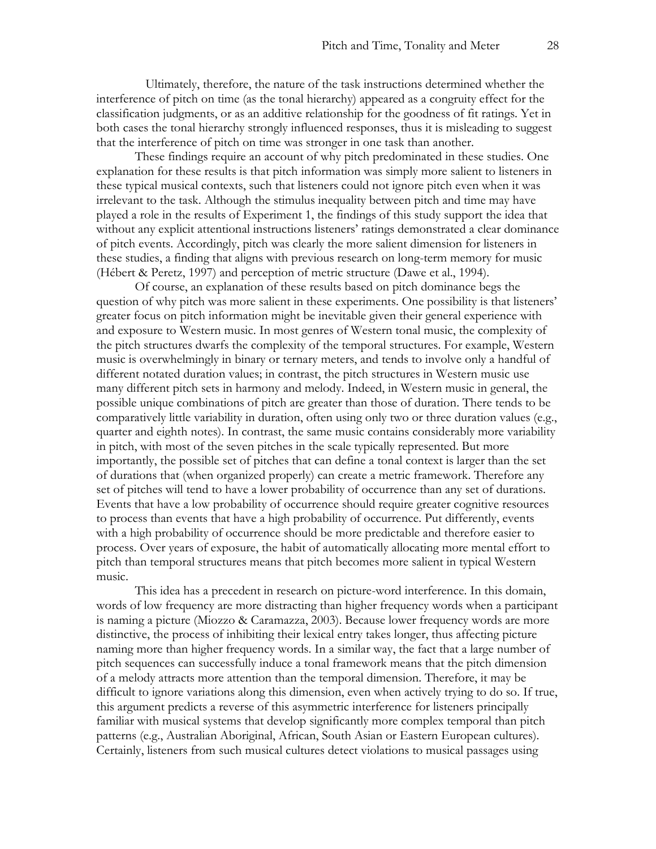Ultimately, therefore, the nature of the task instructions determined whether the interference of pitch on time (as the tonal hierarchy) appeared as a congruity effect for the classification judgments, or as an additive relationship for the goodness of fit ratings. Yet in both cases the tonal hierarchy strongly influenced responses, thus it is misleading to suggest that the interference of pitch on time was stronger in one task than another.

These findings require an account of why pitch predominated in these studies. One explanation for these results is that pitch information was simply more salient to listeners in these typical musical contexts, such that listeners could not ignore pitch even when it was irrelevant to the task. Although the stimulus inequality between pitch and time may have played a role in the results of Experiment 1, the findings of this study support the idea that without any explicit attentional instructions listeners' ratings demonstrated a clear dominance of pitch events. Accordingly, pitch was clearly the more salient dimension for listeners in these studies, a finding that aligns with previous research on long-term memory for music (Hébert & Peretz, 1997) and perception of metric structure (Dawe et al., 1994).

Of course, an explanation of these results based on pitch dominance begs the question of why pitch was more salient in these experiments. One possibility is that listeners' greater focus on pitch information might be inevitable given their general experience with and exposure to Western music. In most genres of Western tonal music, the complexity of the pitch structures dwarfs the complexity of the temporal structures. For example, Western music is overwhelmingly in binary or ternary meters, and tends to involve only a handful of different notated duration values; in contrast, the pitch structures in Western music use many different pitch sets in harmony and melody. Indeed, in Western music in general, the possible unique combinations of pitch are greater than those of duration. There tends to be comparatively little variability in duration, often using only two or three duration values (e.g., quarter and eighth notes). In contrast, the same music contains considerably more variability in pitch, with most of the seven pitches in the scale typically represented. But more importantly, the possible set of pitches that can define a tonal context is larger than the set of durations that (when organized properly) can create a metric framework. Therefore any set of pitches will tend to have a lower probability of occurrence than any set of durations. Events that have a low probability of occurrence should require greater cognitive resources to process than events that have a high probability of occurrence. Put differently, events with a high probability of occurrence should be more predictable and therefore easier to process. Over years of exposure, the habit of automatically allocating more mental effort to pitch than temporal structures means that pitch becomes more salient in typical Western music.

This idea has a precedent in research on picture-word interference. In this domain, words of low frequency are more distracting than higher frequency words when a participant is naming a picture (Miozzo & Caramazza, 2003). Because lower frequency words are more distinctive, the process of inhibiting their lexical entry takes longer, thus affecting picture naming more than higher frequency words. In a similar way, the fact that a large number of pitch sequences can successfully induce a tonal framework means that the pitch dimension of a melody attracts more attention than the temporal dimension. Therefore, it may be difficult to ignore variations along this dimension, even when actively trying to do so. If true, this argument predicts a reverse of this asymmetric interference for listeners principally familiar with musical systems that develop significantly more complex temporal than pitch patterns (e.g., Australian Aboriginal, African, South Asian or Eastern European cultures). Certainly, listeners from such musical cultures detect violations to musical passages using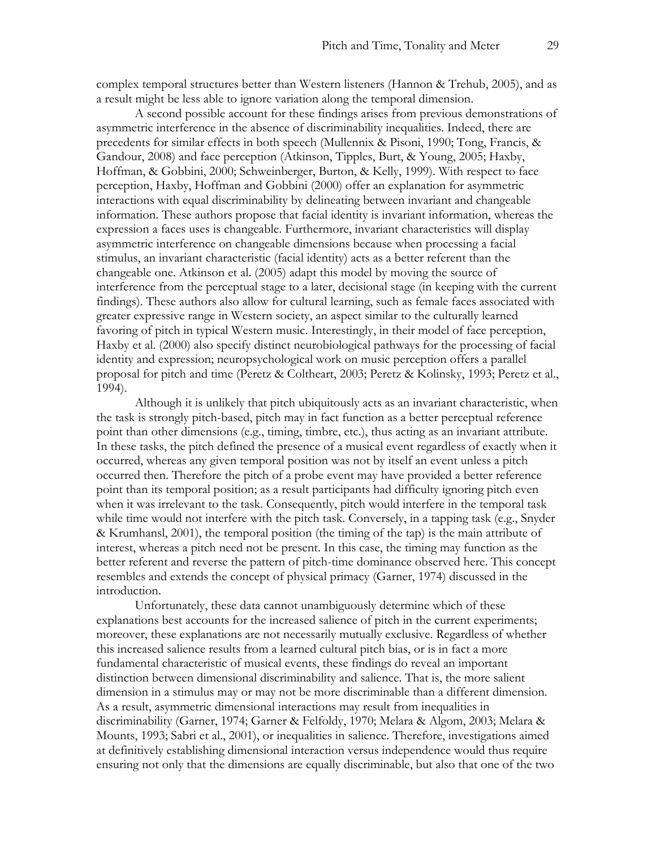complex temporal structures better than Western listeners (Hannon & Trehub, 2005), and as a result might be less able to ignore variation along the temporal dimension.

A second possible account for these findings arises from previous demonstrations of asymmetric interference in the absence of discriminability inequalities. Indeed, there are precedents for similar effects in both speech (Mullennix & Pisoni, 1990; Tong, Francis, & Gandour, 2008) and face perception (Atkinson, Tipples, Burt, & Young, 2005; Haxby, Hoffman, & Gobbini, 2000; Schweinberger, Burton, & Kelly, 1999). With respect to face perception, Haxby, Hoffman and Gobbini (2000) offer an explanation for asymmetric interactions with equal discriminability by delineating between invariant and changeable information. These authors propose that facial identity is invariant information, whereas the expression a faces uses is changeable. Furthermore, invariant characteristics will display asymmetric interference on changeable dimensions because when processing a facial stimulus, an invariant characteristic (facial identity) acts as a better referent than the changeable one. Atkinson et al. (2005) adapt this model by moving the source of interference from the perceptual stage to a later, decisional stage (in keeping with the current findings). These authors also allow for cultural learning, such as female faces associated with greater expressive range in Western society, an aspect similar to the culturally learned favoring of pitch in typical Western music. Interestingly, in their model of face perception, Haxby et al. (2000) also specify distinct neurobiological pathways for the processing of facial identity and expression; neuropsychological work on music perception offers a parallel proposal for pitch and time (Peretz & Coltheart, 2003; Peretz & Kolinsky, 1993; Peretz et al., 1994).

Although it is unlikely that pitch ubiquitously acts as an invariant characteristic, when the task is strongly pitch-based, pitch may in fact function as a better perceptual reference point than other dimensions (e.g., timing, timbre, etc.), thus acting as an invariant attribute. In these tasks, the pitch defined the presence of a musical event regardless of exactly when it occurred, whereas any given temporal position was not by itself an event unless a pitch occurred then. Therefore the pitch of a probe event may have provided a better reference point than its temporal position; as a result participants had difficulty ignoring pitch even when it was irrelevant to the task. Consequently, pitch would interfere in the temporal task while time would not interfere with the pitch task. Conversely, in a tapping task (e.g., Snyder & Krumhansl, 2001), the temporal position (the timing of the tap) is the main attribute of interest, whereas a pitch need not be present. In this case, the timing may function as the better referent and reverse the pattern of pitch-time dominance observed here. This concept resembles and extends the concept of physical primacy (Garner, 1974) discussed in the introduction.

Unfortunately, these data cannot unambiguously determine which of these explanations best accounts for the increased salience of pitch in the current experiments; moreover, these explanations are not necessarily mutually exclusive. Regardless of whether this increased salience results from a learned cultural pitch bias, or is in fact a more fundamental characteristic of musical events, these findings do reveal an important distinction between dimensional discriminability and salience. That is, the more salient dimension in a stimulus may or may not be more discriminable than a different dimension. As a result, asymmetric dimensional interactions may result from inequalities in discriminability (Garner, 1974; Garner & Felfoldy, 1970; Melara & Algom, 2003; Melara & Mounts, 1993; Sabri et al., 2001), or inequalities in salience. Therefore, investigations aimed at definitively establishing dimensional interaction versus independence would thus require ensuring not only that the dimensions are equally discriminable, but also that one of the two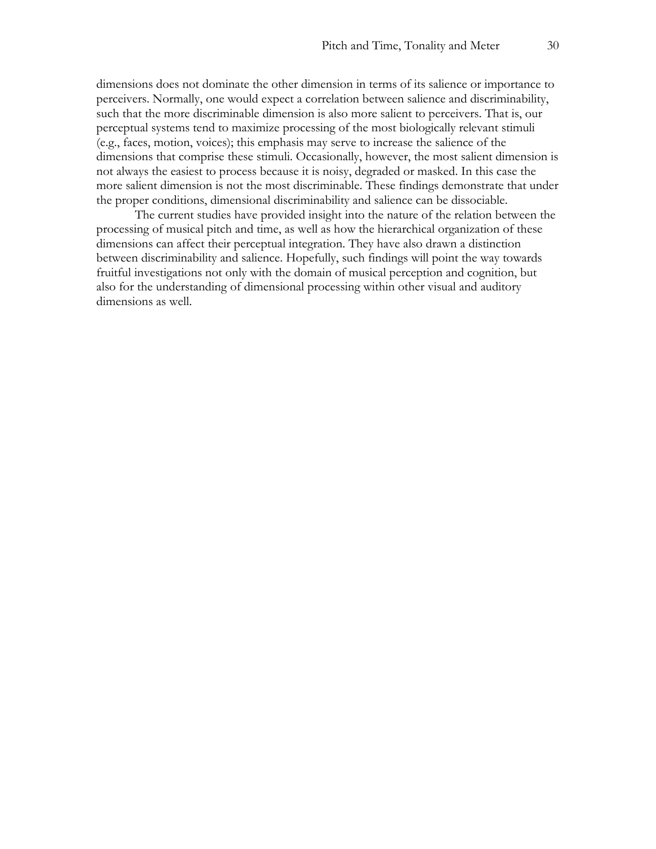dimensions does not dominate the other dimension in terms of its salience or importance to perceivers. Normally, one would expect a correlation between salience and discriminability, such that the more discriminable dimension is also more salient to perceivers. That is, our perceptual systems tend to maximize processing of the most biologically relevant stimuli (e.g., faces, motion, voices); this emphasis may serve to increase the salience of the dimensions that comprise these stimuli. Occasionally, however, the most salient dimension is not always the easiest to process because it is noisy, degraded or masked. In this case the more salient dimension is not the most discriminable. These findings demonstrate that under the proper conditions, dimensional discriminability and salience can be dissociable.

The current studies have provided insight into the nature of the relation between the processing of musical pitch and time, as well as how the hierarchical organization of these dimensions can affect their perceptual integration. They have also drawn a distinction between discriminability and salience. Hopefully, such findings will point the way towards fruitful investigations not only with the domain of musical perception and cognition, but also for the understanding of dimensional processing within other visual and auditory dimensions as well.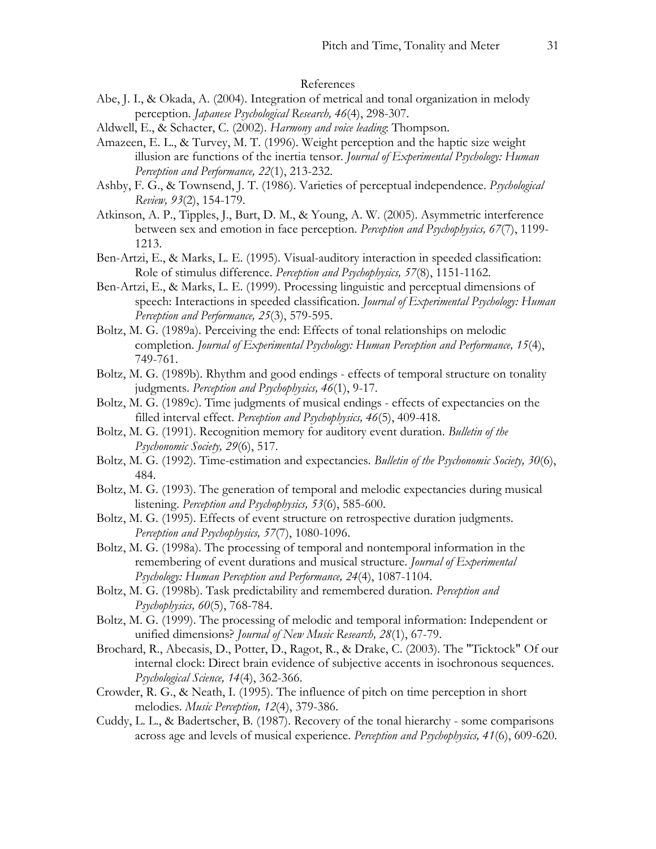## References

- Abe, J. I., & Okada, A. (2004). Integration of metrical and tonal organization in melody perception. *Japanese Psychological Research, 46*(4), 298-307.
- Aldwell, E., & Schacter, C. (2002). *Harmony and voice leading*: Thompson.
- Amazeen, E. L., & Turvey, M. T. (1996). Weight perception and the haptic size weight illusion are functions of the inertia tensor. *Journal of Experimental Psychology: Human Perception and Performance, 22*(1), 213-232.
- Ashby, F. G., & Townsend, J. T. (1986). Varieties of perceptual independence. *Psychological Review, 93*(2), 154-179.
- Atkinson, A. P., Tipples, J., Burt, D. M., & Young, A. W. (2005). Asymmetric interference between sex and emotion in face perception. *Perception and Psychophysics, 67*(7), 1199- 1213.
- Ben-Artzi, E., & Marks, L. E. (1995). Visual-auditory interaction in speeded classification: Role of stimulus difference. *Perception and Psychophysics, 57*(8), 1151-1162.
- Ben-Artzi, E., & Marks, L. E. (1999). Processing linguistic and perceptual dimensions of speech: Interactions in speeded classification. *Journal of Experimental Psychology: Human Perception and Performance, 25*(3), 579-595.
- Boltz, M. G. (1989a). Perceiving the end: Effects of tonal relationships on melodic completion. *Journal of Experimental Psychology: Human Perception and Performance, 15*(4), 749-761.
- Boltz, M. G. (1989b). Rhythm and good endings effects of temporal structure on tonality judgments. *Perception and Psychophysics, 46*(1), 9-17.
- Boltz, M. G. (1989c). Time judgments of musical endings effects of expectancies on the filled interval effect. *Perception and Psychophysics, 46*(5), 409-418.
- Boltz, M. G. (1991). Recognition memory for auditory event duration. *Bulletin of the Psychonomic Society, 29*(6), 517.
- Boltz, M. G. (1992). Time-estimation and expectancies. *Bulletin of the Psychonomic Society, 30*(6), 484.
- Boltz, M. G. (1993). The generation of temporal and melodic expectancies during musical listening. *Perception and Psychophysics, 53*(6), 585-600.
- Boltz, M. G. (1995). Effects of event structure on retrospective duration judgments. *Perception and Psychophysics, 57*(7), 1080-1096.
- Boltz, M. G. (1998a). The processing of temporal and nontemporal information in the remembering of event durations and musical structure. *Journal of Experimental Psychology: Human Perception and Performance, 24*(4), 1087-1104.
- Boltz, M. G. (1998b). Task predictability and remembered duration. *Perception and Psychophysics, 60*(5), 768-784.
- Boltz, M. G. (1999). The processing of melodic and temporal information: Independent or unified dimensions? *Journal of New Music Research, 28*(1), 67-79.
- Brochard, R., Abecasis, D., Potter, D., Ragot, R., & Drake, C. (2003). The "Ticktock" Of our internal clock: Direct brain evidence of subjective accents in isochronous sequences. *Psychological Science, 14*(4), 362-366.
- Crowder, R. G., & Neath, I. (1995). The influence of pitch on time perception in short melodies. *Music Perception, 12*(4), 379-386.
- Cuddy, L. L., & Badertscher, B. (1987). Recovery of the tonal hierarchy some comparisons across age and levels of musical experience. *Perception and Psychophysics, 41*(6), 609-620.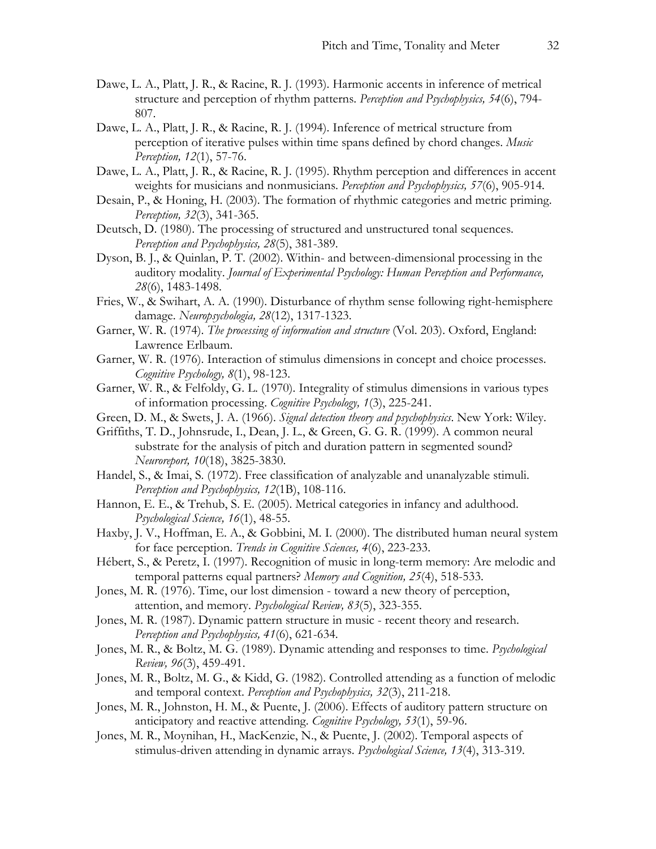- Dawe, L. A., Platt, J. R., & Racine, R. J. (1993). Harmonic accents in inference of metrical structure and perception of rhythm patterns. *Perception and Psychophysics, 54*(6), 794- 807.
- Dawe, L. A., Platt, J. R., & Racine, R. J. (1994). Inference of metrical structure from perception of iterative pulses within time spans defined by chord changes. *Music Perception, 12*(1), 57-76.
- Dawe, L. A., Platt, J. R., & Racine, R. J. (1995). Rhythm perception and differences in accent weights for musicians and nonmusicians. *Perception and Psychophysics, 57*(6), 905-914.
- Desain, P., & Honing, H. (2003). The formation of rhythmic categories and metric priming. *Perception, 32*(3), 341-365.
- Deutsch, D. (1980). The processing of structured and unstructured tonal sequences. *Perception and Psychophysics, 28*(5), 381-389.
- Dyson, B. J., & Quinlan, P. T. (2002). Within- and between-dimensional processing in the auditory modality. *Journal of Experimental Psychology: Human Perception and Performance, 28*(6), 1483-1498.
- Fries, W., & Swihart, A. A. (1990). Disturbance of rhythm sense following right-hemisphere damage. *Neuropsychologia, 28*(12), 1317-1323.
- Garner, W. R. (1974). *The processing of information and structure* (Vol. 203). Oxford, England: Lawrence Erlbaum.
- Garner, W. R. (1976). Interaction of stimulus dimensions in concept and choice processes. *Cognitive Psychology, 8*(1), 98-123.
- Garner, W. R., & Felfoldy, G. L. (1970). Integrality of stimulus dimensions in various types of information processing. *Cognitive Psychology, 1*(3), 225-241.
- Green, D. M., & Swets, J. A. (1966). *Signal detection theory and psychophysics*. New York: Wiley.
- Griffiths, T. D., Johnsrude, I., Dean, J. L., & Green, G. G. R. (1999). A common neural substrate for the analysis of pitch and duration pattern in segmented sound? *Neuroreport, 10*(18), 3825-3830.
- Handel, S., & Imai, S. (1972). Free classification of analyzable and unanalyzable stimuli. *Perception and Psychophysics, 12*(1B), 108-116.
- Hannon, E. E., & Trehub, S. E. (2005). Metrical categories in infancy and adulthood. *Psychological Science, 16*(1), 48-55.
- Haxby, J. V., Hoffman, E. A., & Gobbini, M. I. (2000). The distributed human neural system for face perception. *Trends in Cognitive Sciences, 4*(6), 223-233.
- Hébert, S., & Peretz, I. (1997). Recognition of music in long-term memory: Are melodic and temporal patterns equal partners? *Memory and Cognition, 25*(4), 518-533.
- Jones, M. R. (1976). Time, our lost dimension toward a new theory of perception, attention, and memory. *Psychological Review, 83*(5), 323-355.
- Jones, M. R. (1987). Dynamic pattern structure in music recent theory and research. *Perception and Psychophysics, 41*(6), 621-634.
- Jones, M. R., & Boltz, M. G. (1989). Dynamic attending and responses to time. *Psychological Review, 96*(3), 459-491.
- Jones, M. R., Boltz, M. G., & Kidd, G. (1982). Controlled attending as a function of melodic and temporal context. *Perception and Psychophysics, 32*(3), 211-218.
- Jones, M. R., Johnston, H. M., & Puente, J. (2006). Effects of auditory pattern structure on anticipatory and reactive attending. *Cognitive Psychology, 53*(1), 59-96.
- Jones, M. R., Moynihan, H., MacKenzie, N., & Puente, J. (2002). Temporal aspects of stimulus-driven attending in dynamic arrays. *Psychological Science, 13*(4), 313-319.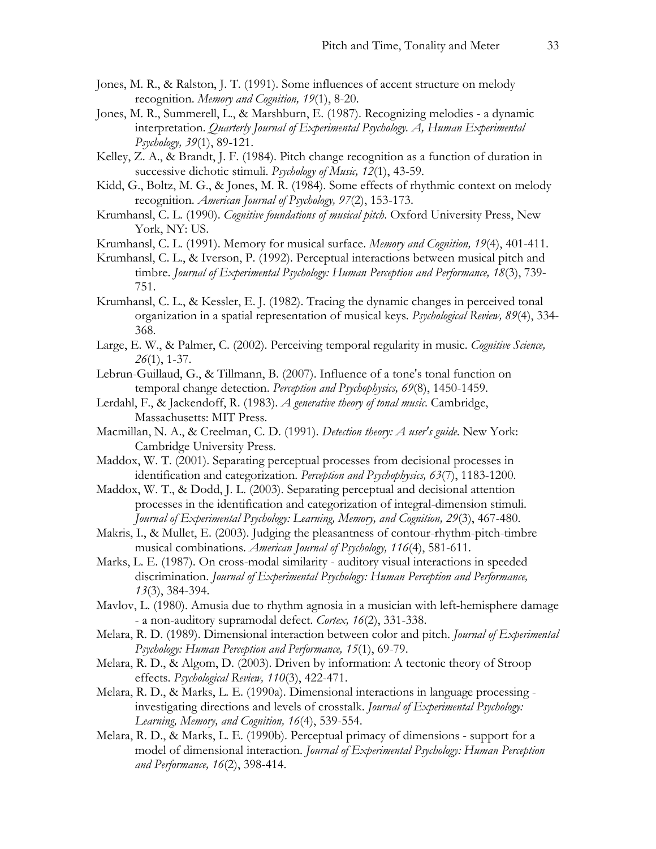- Jones, M. R., & Ralston, J. T. (1991). Some influences of accent structure on melody recognition. *Memory and Cognition, 19*(1), 8-20.
- Jones, M. R., Summerell, L., & Marshburn, E. (1987). Recognizing melodies a dynamic interpretation. *Quarterly Journal of Experimental Psychology. A, Human Experimental Psychology, 39*(1), 89-121.
- Kelley, Z. A., & Brandt, J. F. (1984). Pitch change recognition as a function of duration in successive dichotic stimuli. *Psychology of Music, 12*(1), 43-59.
- Kidd, G., Boltz, M. G., & Jones, M. R. (1984). Some effects of rhythmic context on melody recognition. *American Journal of Psychology, 97*(2), 153-173.
- Krumhansl, C. L. (1990). *Cognitive foundations of musical pitch*. Oxford University Press, New York, NY: US.
- Krumhansl, C. L. (1991). Memory for musical surface. *Memory and Cognition, 19*(4), 401-411.
- Krumhansl, C. L., & Iverson, P. (1992). Perceptual interactions between musical pitch and timbre. *Journal of Experimental Psychology: Human Perception and Performance, 18*(3), 739- 751.
- Krumhansl, C. L., & Kessler, E. J. (1982). Tracing the dynamic changes in perceived tonal organization in a spatial representation of musical keys. *Psychological Review, 89*(4), 334- 368.
- Large, E. W., & Palmer, C. (2002). Perceiving temporal regularity in music. *Cognitive Science, 26*(1), 1-37.
- Lebrun-Guillaud, G., & Tillmann, B. (2007). Influence of a tone's tonal function on temporal change detection. *Perception and Psychophysics, 69*(8), 1450-1459.
- Lerdahl, F., & Jackendoff, R. (1983). *A generative theory of tonal music*. Cambridge, Massachusetts: MIT Press.
- Macmillan, N. A., & Creelman, C. D. (1991). *Detection theory: A user's guide*. New York: Cambridge University Press.
- Maddox, W. T. (2001). Separating perceptual processes from decisional processes in identification and categorization. *Perception and Psychophysics, 63*(7), 1183-1200.
- Maddox, W. T., & Dodd, J. L. (2003). Separating perceptual and decisional attention processes in the identification and categorization of integral-dimension stimuli. *Journal of Experimental Psychology: Learning, Memory, and Cognition, 29*(3), 467-480.
- Makris, I., & Mullet, E. (2003). Judging the pleasantness of contour-rhythm-pitch-timbre musical combinations. *American Journal of Psychology, 116*(4), 581-611.
- Marks, L. E. (1987). On cross-modal similarity auditory visual interactions in speeded discrimination. *Journal of Experimental Psychology: Human Perception and Performance, 13*(3), 384-394.
- Mavlov, L. (1980). Amusia due to rhythm agnosia in a musician with left-hemisphere damage - a non-auditory supramodal defect. *Cortex, 16*(2), 331-338.
- Melara, R. D. (1989). Dimensional interaction between color and pitch. *Journal of Experimental Psychology: Human Perception and Performance, 15*(1), 69-79.
- Melara, R. D., & Algom, D. (2003). Driven by information: A tectonic theory of Stroop effects. *Psychological Review, 110*(3), 422-471.
- Melara, R. D., & Marks, L. E. (1990a). Dimensional interactions in language processing investigating directions and levels of crosstalk. *Journal of Experimental Psychology: Learning, Memory, and Cognition, 16*(4), 539-554.
- Melara, R. D., & Marks, L. E. (1990b). Perceptual primacy of dimensions support for a model of dimensional interaction. *Journal of Experimental Psychology: Human Perception and Performance, 16*(2), 398-414.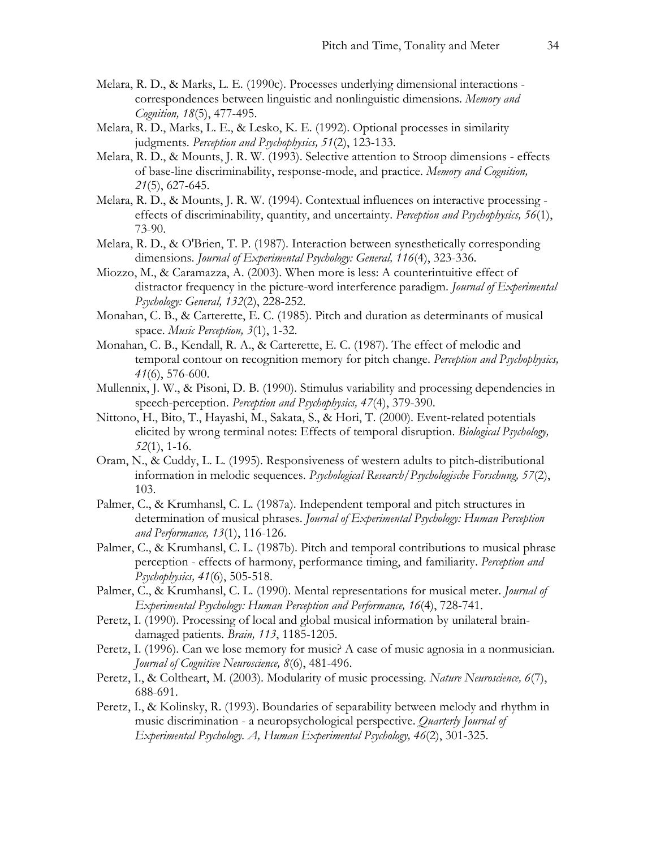- Melara, R. D., & Marks, L. E. (1990c). Processes underlying dimensional interactions correspondences between linguistic and nonlinguistic dimensions. *Memory and Cognition, 18*(5), 477-495.
- Melara, R. D., Marks, L. E., & Lesko, K. E. (1992). Optional processes in similarity judgments. *Perception and Psychophysics, 51*(2), 123-133.
- Melara, R. D., & Mounts, J. R. W. (1993). Selective attention to Stroop dimensions effects of base-line discriminability, response-mode, and practice. *Memory and Cognition, 21*(5), 627-645.
- Melara, R. D., & Mounts, J. R. W. (1994). Contextual influences on interactive processing effects of discriminability, quantity, and uncertainty. *Perception and Psychophysics, 56*(1), 73-90.
- Melara, R. D., & O'Brien, T. P. (1987). Interaction between synesthetically corresponding dimensions. *Journal of Experimental Psychology: General, 116*(4), 323-336.
- Miozzo, M., & Caramazza, A. (2003). When more is less: A counterintuitive effect of distractor frequency in the picture-word interference paradigm. *Journal of Experimental Psychology: General, 132*(2), 228-252.
- Monahan, C. B., & Carterette, E. C. (1985). Pitch and duration as determinants of musical space. *Music Perception, 3*(1), 1-32.
- Monahan, C. B., Kendall, R. A., & Carterette, E. C. (1987). The effect of melodic and temporal contour on recognition memory for pitch change. *Perception and Psychophysics, 41*(6), 576-600.
- Mullennix, J. W., & Pisoni, D. B. (1990). Stimulus variability and processing dependencies in speech-perception. *Perception and Psychophysics, 47*(4), 379-390.
- Nittono, H., Bito, T., Hayashi, M., Sakata, S., & Hori, T. (2000). Event-related potentials elicited by wrong terminal notes: Effects of temporal disruption. *Biological Psychology, 52*(1), 1-16.
- Oram, N., & Cuddy, L. L. (1995). Responsiveness of western adults to pitch-distributional information in melodic sequences. *Psychological Research/Psychologische Forschung, 57*(2), 103.
- Palmer, C., & Krumhansl, C. L. (1987a). Independent temporal and pitch structures in determination of musical phrases. *Journal of Experimental Psychology: Human Perception and Performance, 13*(1), 116-126.
- Palmer, C., & Krumhansl, C. L. (1987b). Pitch and temporal contributions to musical phrase perception - effects of harmony, performance timing, and familiarity. *Perception and Psychophysics, 41*(6), 505-518.
- Palmer, C., & Krumhansl, C. L. (1990). Mental representations for musical meter. *Journal of Experimental Psychology: Human Perception and Performance, 16*(4), 728-741.
- Peretz, I. (1990). Processing of local and global musical information by unilateral braindamaged patients. *Brain, 113*, 1185-1205.
- Peretz, I. (1996). Can we lose memory for music? A case of music agnosia in a nonmusician. *Journal of Cognitive Neuroscience, 8*(6), 481-496.
- Peretz, I., & Coltheart, M. (2003). Modularity of music processing. *Nature Neuroscience, 6*(7), 688-691.
- Peretz, I., & Kolinsky, R. (1993). Boundaries of separability between melody and rhythm in music discrimination - a neuropsychological perspective. *Quarterly Journal of Experimental Psychology. A, Human Experimental Psychology, 46*(2), 301-325.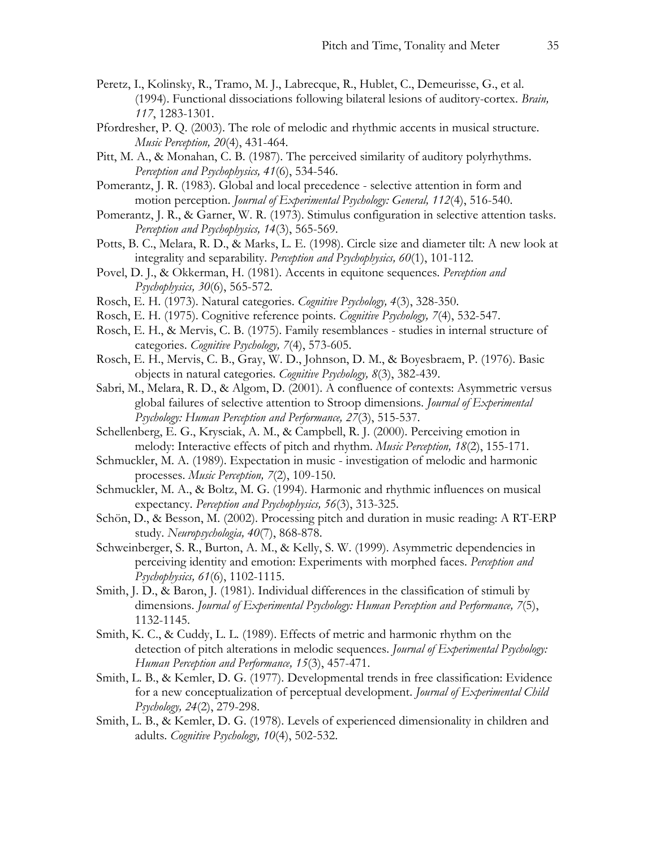- Peretz, I., Kolinsky, R., Tramo, M. J., Labrecque, R., Hublet, C., Demeurisse, G., et al. (1994). Functional dissociations following bilateral lesions of auditory-cortex. *Brain, 117*, 1283-1301.
- Pfordresher, P. Q. (2003). The role of melodic and rhythmic accents in musical structure. *Music Perception, 20*(4), 431-464.
- Pitt, M. A., & Monahan, C. B. (1987). The perceived similarity of auditory polyrhythms. *Perception and Psychophysics, 41*(6), 534-546.
- Pomerantz, J. R. (1983). Global and local precedence selective attention in form and motion perception. *Journal of Experimental Psychology: General, 112*(4), 516-540.
- Pomerantz, J. R., & Garner, W. R. (1973). Stimulus configuration in selective attention tasks. *Perception and Psychophysics, 14*(3), 565-569.
- Potts, B. C., Melara, R. D., & Marks, L. E. (1998). Circle size and diameter tilt: A new look at integrality and separability. *Perception and Psychophysics, 60*(1), 101-112.
- Povel, D. J., & Okkerman, H. (1981). Accents in equitone sequences. *Perception and Psychophysics, 30*(6), 565-572.
- Rosch, E. H. (1973). Natural categories. *Cognitive Psychology, 4*(3), 328-350.
- Rosch, E. H. (1975). Cognitive reference points. *Cognitive Psychology, 7*(4), 532-547.
- Rosch, E. H., & Mervis, C. B. (1975). Family resemblances studies in internal structure of categories. *Cognitive Psychology, 7*(4), 573-605.
- Rosch, E. H., Mervis, C. B., Gray, W. D., Johnson, D. M., & Boyesbraem, P. (1976). Basic objects in natural categories. *Cognitive Psychology, 8*(3), 382-439.
- Sabri, M., Melara, R. D., & Algom, D. (2001). A confluence of contexts: Asymmetric versus global failures of selective attention to Stroop dimensions. *Journal of Experimental Psychology: Human Perception and Performance, 27*(3), 515-537.
- Schellenberg, E. G., Krysciak, A. M., & Campbell, R. J. (2000). Perceiving emotion in melody: Interactive effects of pitch and rhythm. *Music Perception, 18*(2), 155-171.
- Schmuckler, M. A. (1989). Expectation in music investigation of melodic and harmonic processes. *Music Perception, 7*(2), 109-150.
- Schmuckler, M. A., & Boltz, M. G. (1994). Harmonic and rhythmic influences on musical expectancy. *Perception and Psychophysics, 56*(3), 313-325.
- Schön, D., & Besson, M. (2002). Processing pitch and duration in music reading: A RT-ERP study. *Neuropsychologia, 40*(7), 868-878.
- Schweinberger, S. R., Burton, A. M., & Kelly, S. W. (1999). Asymmetric dependencies in perceiving identity and emotion: Experiments with morphed faces. *Perception and Psychophysics, 61*(6), 1102-1115.
- Smith, J. D., & Baron, J. (1981). Individual differences in the classification of stimuli by dimensions. *Journal of Experimental Psychology: Human Perception and Performance, 7*(5), 1132-1145.
- Smith, K. C., & Cuddy, L. L. (1989). Effects of metric and harmonic rhythm on the detection of pitch alterations in melodic sequences. *Journal of Experimental Psychology: Human Perception and Performance, 15*(3), 457-471.
- Smith, L. B., & Kemler, D. G. (1977). Developmental trends in free classification: Evidence for a new conceptualization of perceptual development. *Journal of Experimental Child Psychology, 24*(2), 279-298.
- Smith, L. B., & Kemler, D. G. (1978). Levels of experienced dimensionality in children and adults. *Cognitive Psychology, 10*(4), 502-532.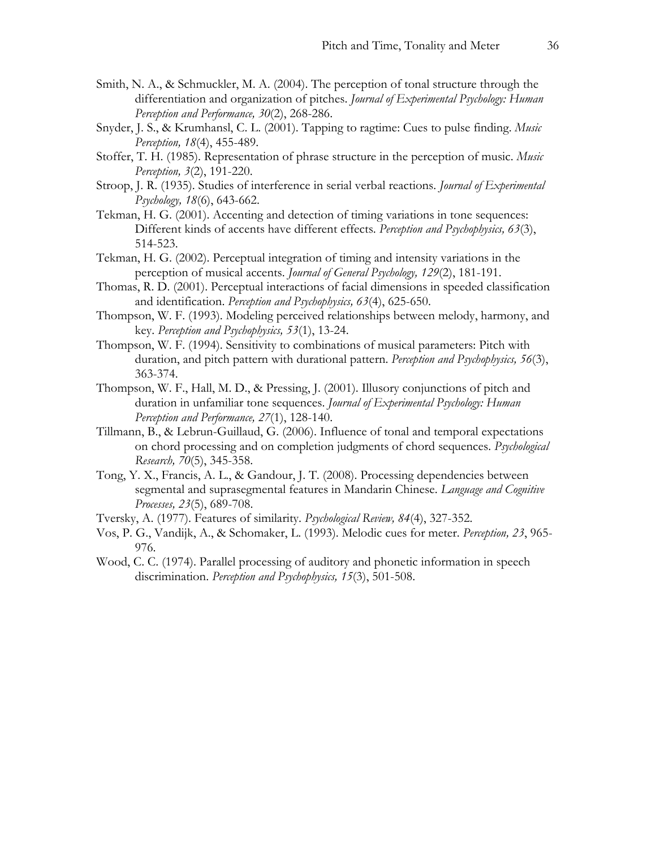- Smith, N. A., & Schmuckler, M. A. (2004). The perception of tonal structure through the differentiation and organization of pitches. *Journal of Experimental Psychology: Human Perception and Performance, 30*(2), 268-286.
- Snyder, J. S., & Krumhansl, C. L. (2001). Tapping to ragtime: Cues to pulse finding. *Music Perception, 18*(4), 455-489.
- Stoffer, T. H. (1985). Representation of phrase structure in the perception of music. *Music Perception, 3*(2), 191-220.
- Stroop, J. R. (1935). Studies of interference in serial verbal reactions. *Journal of Experimental Psychology, 18*(6), 643-662.
- Tekman, H. G. (2001). Accenting and detection of timing variations in tone sequences: Different kinds of accents have different effects. *Perception and Psychophysics, 63*(3), 514-523.
- Tekman, H. G. (2002). Perceptual integration of timing and intensity variations in the perception of musical accents. *Journal of General Psychology, 129*(2), 181-191.
- Thomas, R. D. (2001). Perceptual interactions of facial dimensions in speeded classification and identification. *Perception and Psychophysics, 63*(4), 625-650.
- Thompson, W. F. (1993). Modeling perceived relationships between melody, harmony, and key. *Perception and Psychophysics, 53*(1), 13-24.
- Thompson, W. F. (1994). Sensitivity to combinations of musical parameters: Pitch with duration, and pitch pattern with durational pattern. *Perception and Psychophysics, 56*(3), 363-374.
- Thompson, W. F., Hall, M. D., & Pressing, J. (2001). Illusory conjunctions of pitch and duration in unfamiliar tone sequences. *Journal of Experimental Psychology: Human Perception and Performance, 27*(1), 128-140.
- Tillmann, B., & Lebrun-Guillaud, G. (2006). Influence of tonal and temporal expectations on chord processing and on completion judgments of chord sequences. *Psychological Research, 70*(5), 345-358.
- Tong, Y. X., Francis, A. L., & Gandour, J. T. (2008). Processing dependencies between segmental and suprasegmental features in Mandarin Chinese. *Language and Cognitive Processes, 23*(5), 689-708.
- Tversky, A. (1977). Features of similarity. *Psychological Review, 84*(4), 327-352.
- Vos, P. G., Vandijk, A., & Schomaker, L. (1993). Melodic cues for meter. *Perception, 23*, 965- 976.
- Wood, C. C. (1974). Parallel processing of auditory and phonetic information in speech discrimination. *Perception and Psychophysics, 15*(3), 501-508.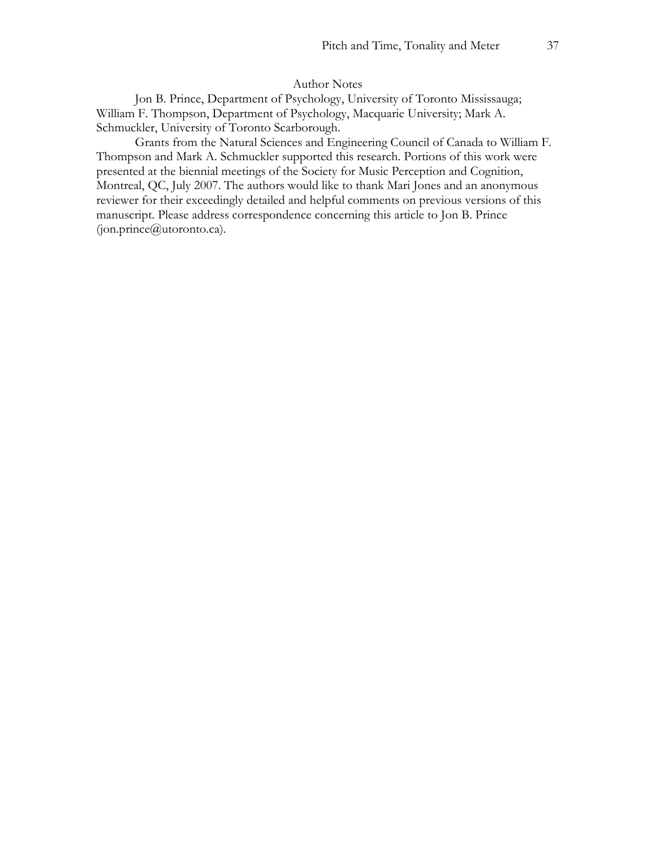## Author Notes

Jon B. Prince, Department of Psychology, University of Toronto Mississauga; William F. Thompson, Department of Psychology, Macquarie University; Mark A. Schmuckler, University of Toronto Scarborough.

Grants from the Natural Sciences and Engineering Council of Canada to William F. Thompson and Mark A. Schmuckler supported this research. Portions of this work were presented at the biennial meetings of the Society for Music Perception and Cognition, Montreal, QC, July 2007. The authors would like to thank Mari Jones and an anonymous reviewer for their exceedingly detailed and helpful comments on previous versions of this manuscript. Please address correspondence concerning this article to Jon B. Prince (jon.prince@utoronto.ca).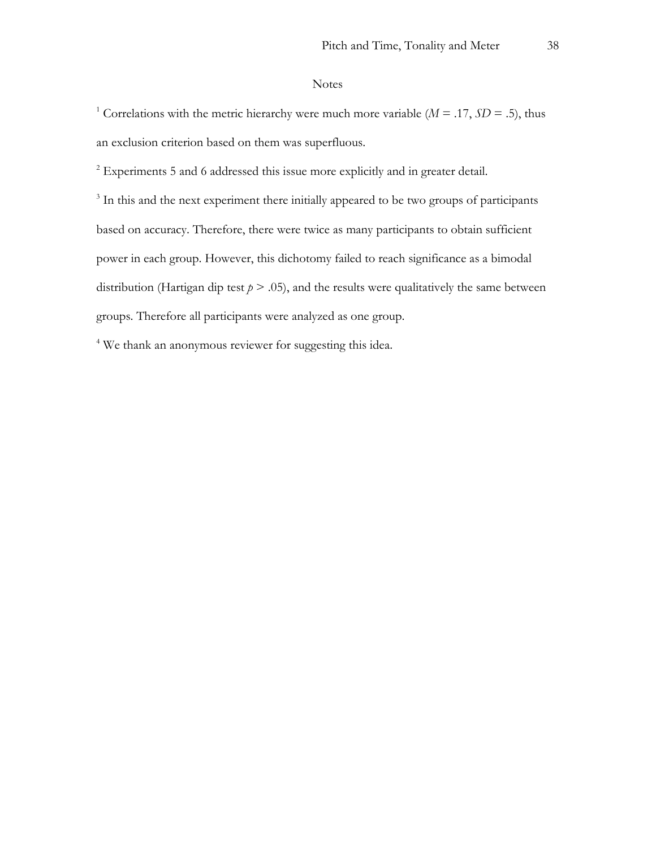## Notes

<span id="page-38-0"></span><sup>1</sup> Correlations with the metric hierarchy were much more variable ( $M = .17$ ,  $SD = .5$ ), thus an exclusion criterion based on them was superfluous.

<span id="page-38-1"></span><sup>2</sup> Experiments 5 and 6 addressed this issue more explicitly and in greater detail.

<span id="page-38-2"></span><sup>3</sup> In this and the next experiment there initially appeared to be two groups of participants based on accuracy. Therefore, there were twice as many participants to obtain sufficient power in each group. However, this dichotomy failed to reach significance as a bimodal distribution (Hartigan dip test  $p > .05$ ), and the results were qualitatively the same between groups. Therefore all participants were analyzed as one group.

<sup>4</sup> We thank an anonymous reviewer for suggesting this idea.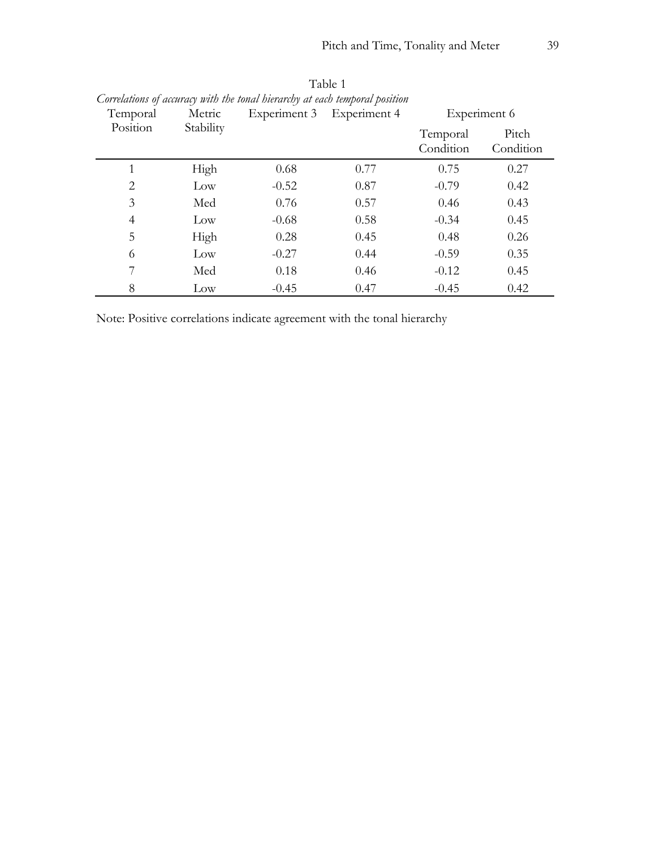| Temporal | Metric    | Experiment 3 | Experiment 4 | Experiment 6          |                    |
|----------|-----------|--------------|--------------|-----------------------|--------------------|
| Position | Stability |              |              | Temporal<br>Condition | Pitch<br>Condition |
|          | High      | 0.68         | 0.77         | 0.75                  | 0.27               |
| 2        | Low       | $-0.52$      | 0.87         | $-0.79$               | 0.42               |
| 3        | Med       | 0.76         | 0.57         | 0.46                  | 0.43               |
| 4        | Low       | $-0.68$      | 0.58         | $-0.34$               | 0.45               |
| 5        | High      | 0.28         | 0.45         | 0.48                  | 0.26               |
| 6        | Low       | $-0.27$      | 0.44         | $-0.59$               | 0.35               |
| 7        | Med       | 0.18         | 0.46         | $-0.12$               | 0.45               |
| 8        | Low       | $-0.45$      | 0.47         | $-0.45$               | 0.42               |

Table 1 *Correlations of accuracy with the tonal hierarchy at each temporal position*

Note: Positive correlations indicate agreement with the tonal hierarchy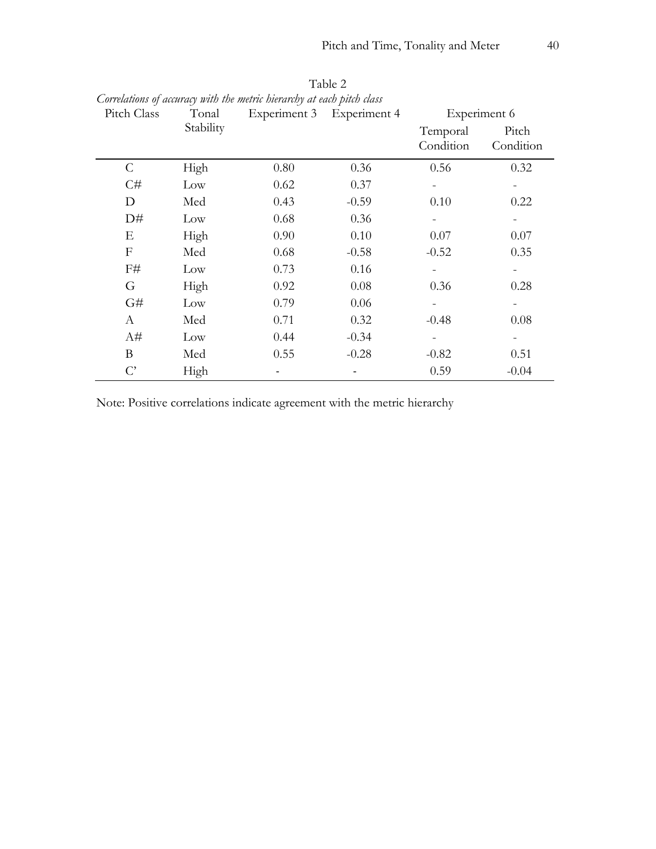| Pitch Class            | Tonal     | Corremandas of accuracy was also meetic literatury at calli pateli aussi | Experiment 3 Experiment 4 | Experiment 6          |                          |
|------------------------|-----------|--------------------------------------------------------------------------|---------------------------|-----------------------|--------------------------|
|                        | Stability |                                                                          |                           | Temporal<br>Condition | Pitch<br>Condition       |
| $\mathsf{C}$           | High      | 0.80                                                                     | 0.36                      | 0.56                  | 0.32                     |
| C#                     | Low       | 0.62                                                                     | 0.37                      |                       | -                        |
| D                      | Med       | 0.43                                                                     | $-0.59$                   | 0.10                  | 0.22                     |
| D#                     | Low       | 0.68                                                                     | 0.36                      |                       |                          |
| Ε                      | High      | 0.90                                                                     | 0.10                      | 0.07                  | 0.07                     |
| $\mathbf{F}$           | Med       | 0.68                                                                     | $-0.58$                   | $-0.52$               | 0.35                     |
| $F#$                   | Low       | 0.73                                                                     | 0.16                      |                       |                          |
| G                      | High      | 0.92                                                                     | 0.08                      | 0.36                  | 0.28                     |
| G#                     | Low       | 0.79                                                                     | 0.06                      |                       | $\overline{\phantom{a}}$ |
| $\mathbf{A}$           | Med       | 0.71                                                                     | 0.32                      | $-0.48$               | 0.08                     |
| A#                     | Low       | 0.44                                                                     | $-0.34$                   |                       |                          |
| B                      | Med       | 0.55                                                                     | $-0.28$                   | $-0.82$               | 0.51                     |
| $\mathcal{C}^{\prime}$ | High      |                                                                          |                           | 0.59                  | $-0.04$                  |

Table 2 *Correlations of accuracy with the metric hierarchy at each pitch class*

Note: Positive correlations indicate agreement with the metric hierarchy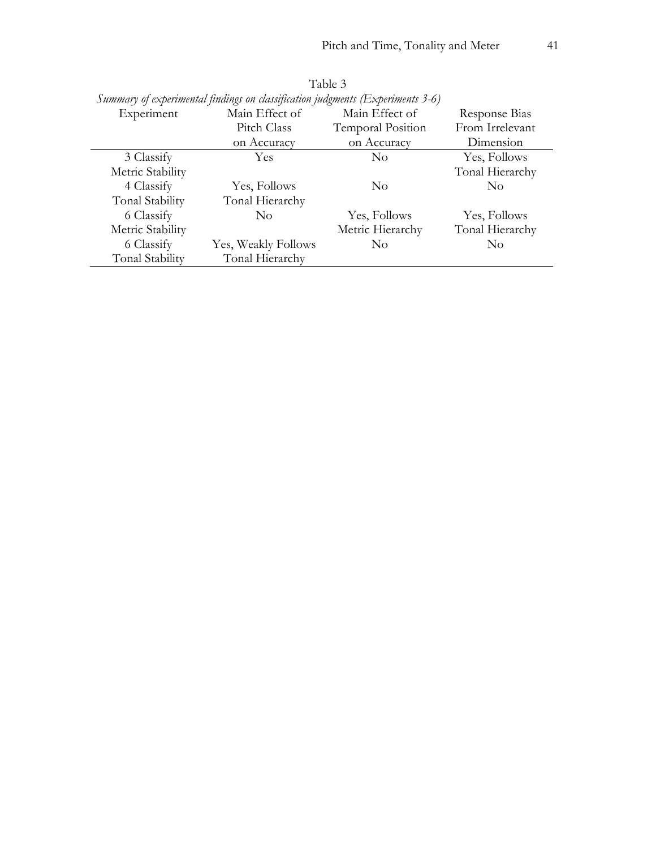| Summary of experimental finalities on classification fuagments (Experiments 5-6) |                     |                          |                 |  |  |  |
|----------------------------------------------------------------------------------|---------------------|--------------------------|-----------------|--|--|--|
| Experiment                                                                       | Main Effect of      | Main Effect of           | Response Bias   |  |  |  |
|                                                                                  | Pitch Class         | <b>Temporal Position</b> | From Irrelevant |  |  |  |
|                                                                                  | on Accuracy         | on Accuracy              | Dimension       |  |  |  |
| 3 Classify                                                                       | <b>Yes</b>          | N <sub>0</sub>           | Yes, Follows    |  |  |  |
| Metric Stability                                                                 |                     |                          | Tonal Hierarchy |  |  |  |
| 4 Classify                                                                       | Yes, Follows        | N <sub>0</sub>           | No              |  |  |  |
| Tonal Stability                                                                  | Tonal Hierarchy     |                          |                 |  |  |  |
| 6 Classify                                                                       | $\overline{N}$      | Yes, Follows             | Yes, Follows    |  |  |  |
| Metric Stability                                                                 |                     | Metric Hierarchy         | Tonal Hierarchy |  |  |  |
| 6 Classify                                                                       | Yes, Weakly Follows | N <sub>0</sub>           | No              |  |  |  |
| Tonal Stability                                                                  | Tonal Hierarchy     |                          |                 |  |  |  |

Table 3 *Summary of experimental findings on classification judgments (Experiments 3-6)*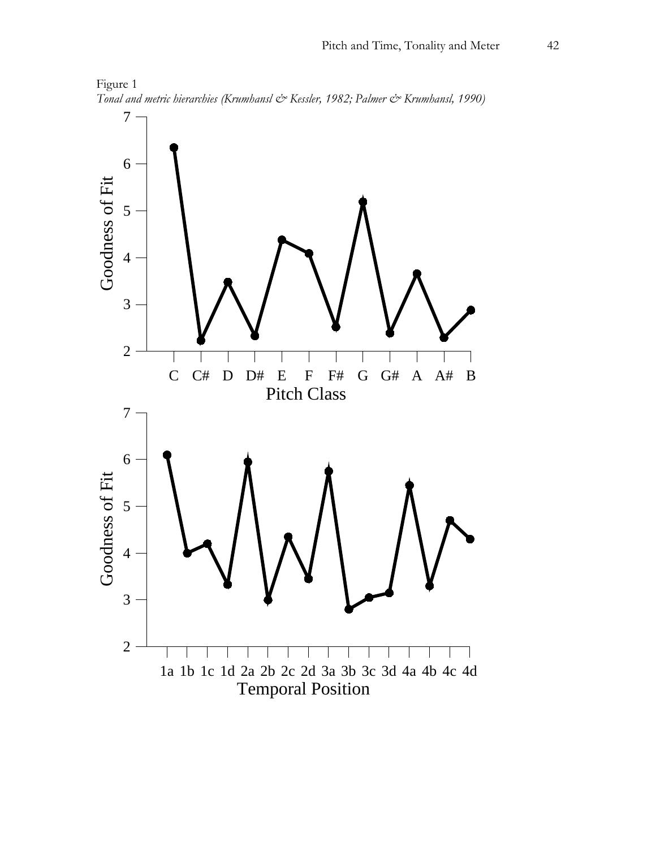

Figure 1 *Tonal and metric hierarchies (Krumhansl & Kessler, 1982; Palmer & Krumhansl, 1990)*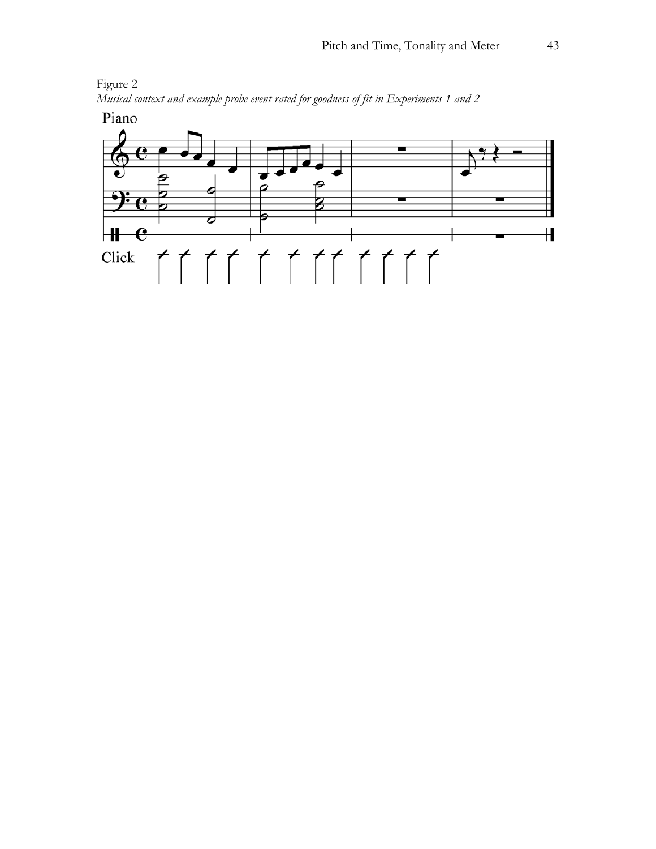

# Figure 2

*Musical context and example probe event rated for goodness of fit in Experiments 1 and 2*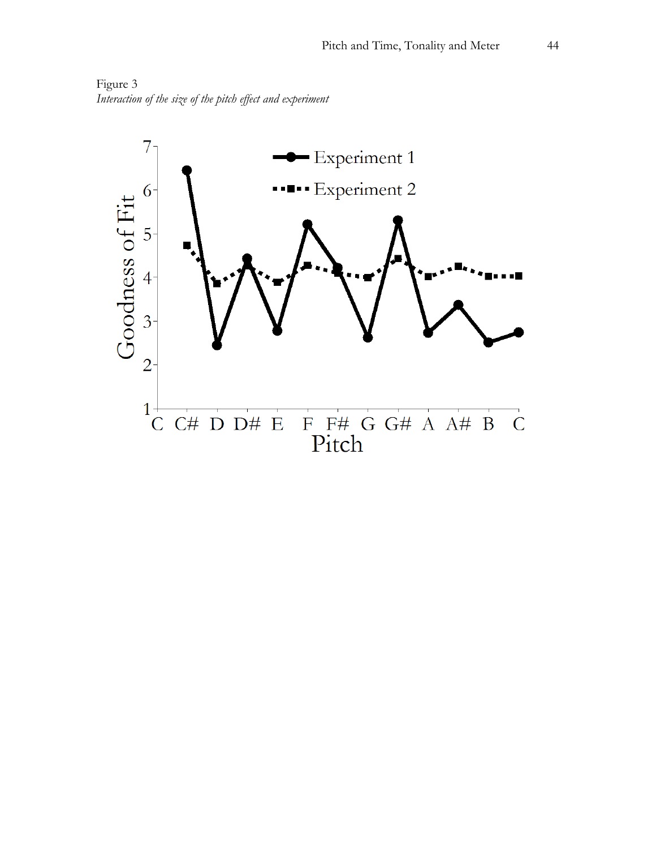Figure 3 *Interaction of the size of the pitch effect and experiment*

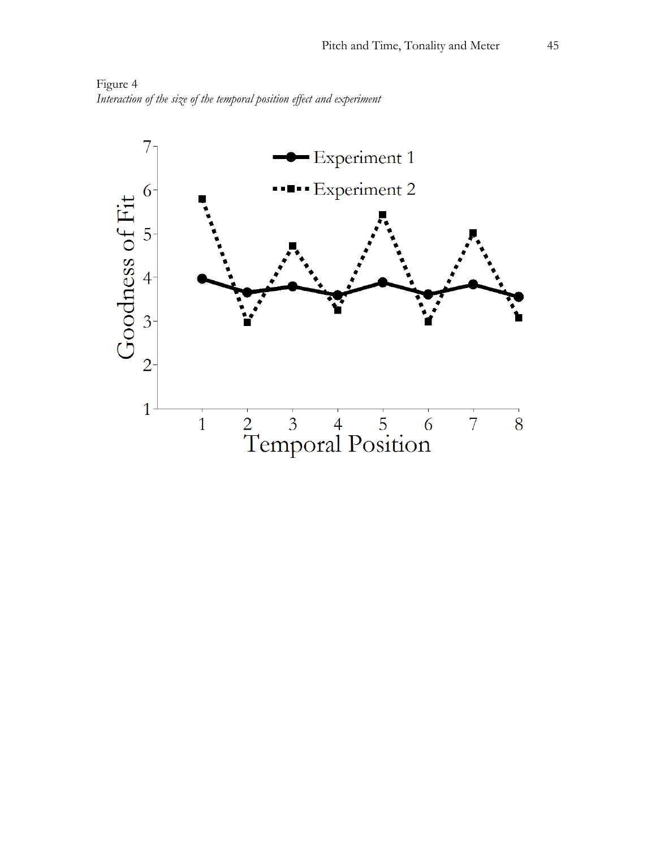Figure 4 *Interaction of the size of the temporal position effect and experiment*

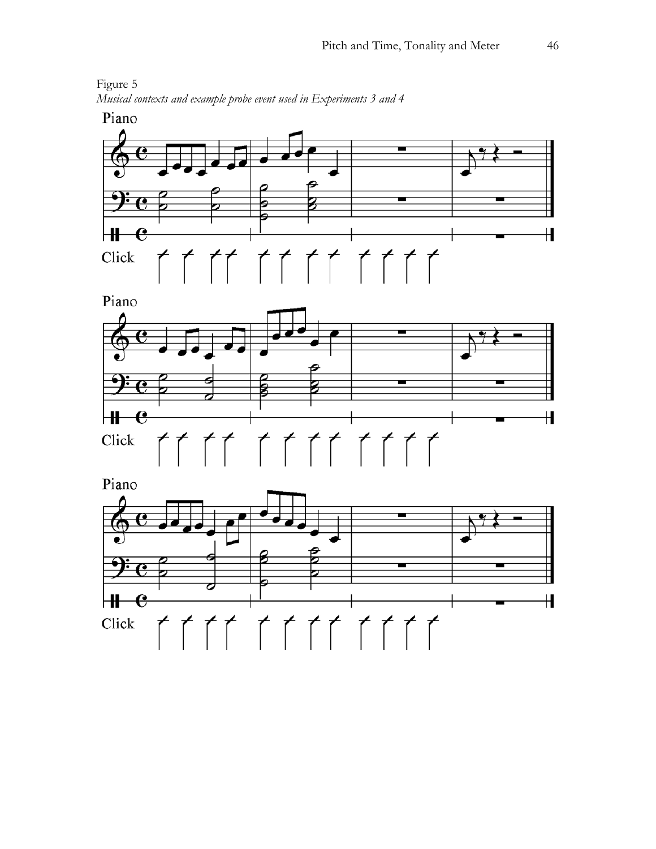

Figure 5 *Musical contexts and example probe event used in Experiments 3 and 4*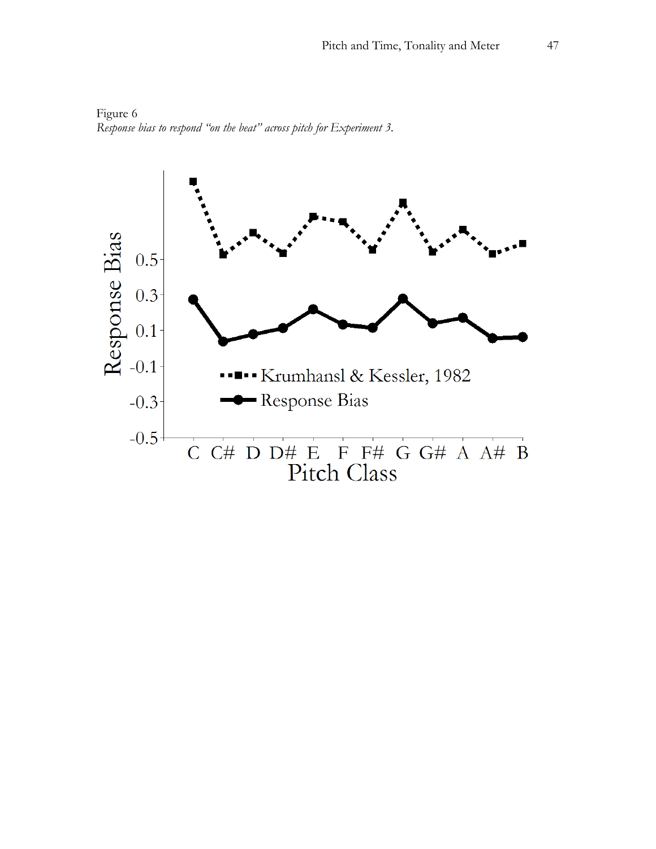Figure 6 *Response bias to respond "on the beat" across pitch for Experiment 3.* 

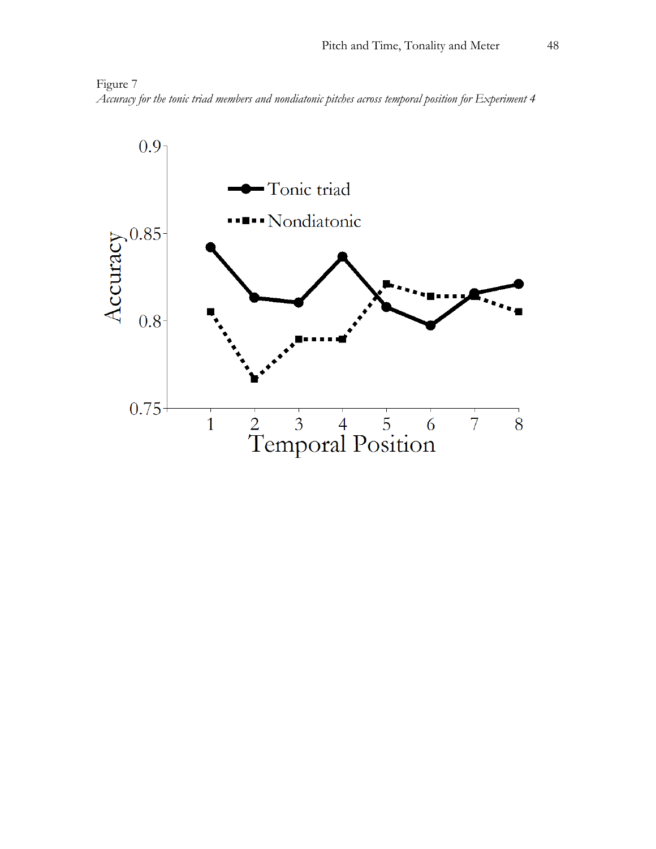Figure 7 *Accuracy for the tonic triad members and nondiatonic pitches across temporal position for Experiment 4*